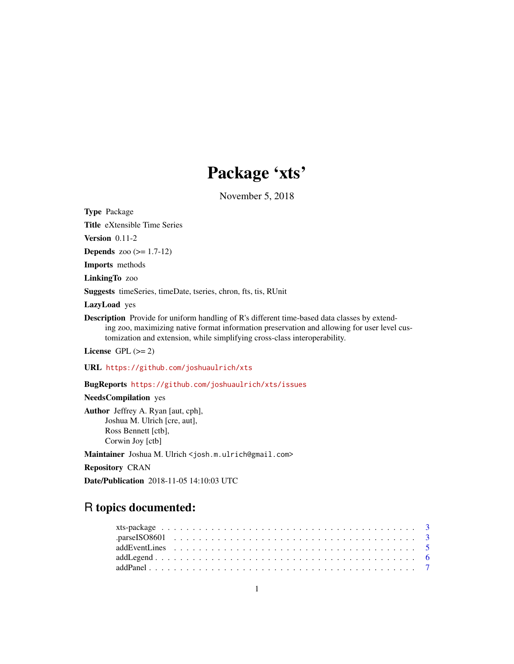# Package 'xts'

November 5, 2018

<span id="page-0-0"></span>Type Package

Title eXtensible Time Series

Version 0.11-2

**Depends** zoo  $(>= 1.7-12)$ 

Imports methods

LinkingTo zoo

Suggests timeSeries, timeDate, tseries, chron, fts, tis, RUnit

LazyLoad yes

Description Provide for uniform handling of R's different time-based data classes by extending zoo, maximizing native format information preservation and allowing for user level customization and extension, while simplifying cross-class interoperability.

License GPL  $(>= 2)$ 

URL <https://github.com/joshuaulrich/xts>

BugReports <https://github.com/joshuaulrich/xts/issues>

NeedsCompilation yes

Author Jeffrey A. Ryan [aut, cph], Joshua M. Ulrich [cre, aut], Ross Bennett [ctb], Corwin Joy [ctb]

Maintainer Joshua M. Ulrich <josh.m.ulrich@gmail.com>

Repository CRAN

Date/Publication 2018-11-05 14:10:03 UTC

# R topics documented: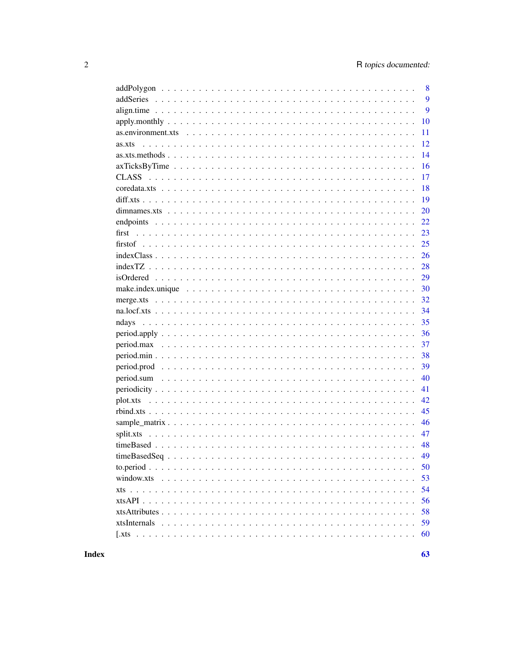| 8            |
|--------------|
| 9            |
| 9            |
| 10           |
| 11           |
| 12<br>as.xts |
| 14           |
| 16           |
| 17           |
| 18           |
| 19           |
| 20           |
| 22           |
| 23           |
| 25           |
| 26           |
| 28           |
| 29           |
| 30           |
| 32           |
| 34           |
| 35           |
| 36           |
| 37           |
| 38           |
| 39           |
| 40           |
| 41           |
| 42           |
| 45           |
| 46           |
| 47           |
| 48           |
| 49           |
| 50           |
| 53           |
| 54           |
| 56           |
| 58           |
| 59           |
| 60           |

# **Index**

 $63$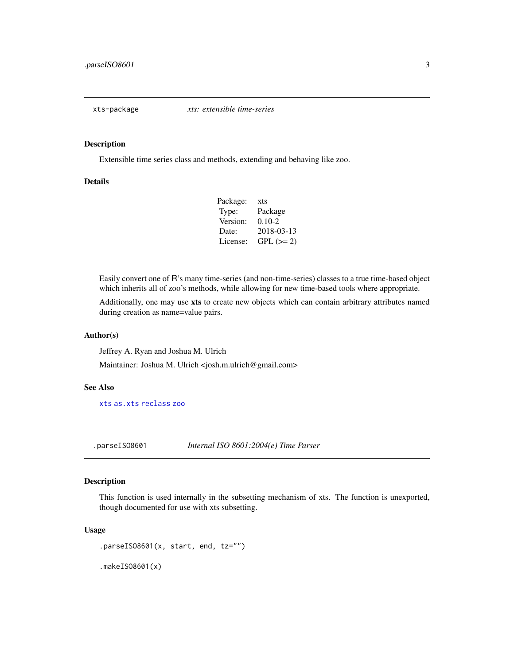<span id="page-2-0"></span>

Extensible time series class and methods, extending and behaving like zoo.

#### Details

| Package: | xts         |
|----------|-------------|
| Type:    | Package     |
| Version: | $0.10 - 2$  |
| Date:    | 2018-03-13  |
| License: | $GPL (= 2)$ |

Easily convert one of R's many time-series (and non-time-series) classes to a true time-based object which inherits all of zoo's methods, while allowing for new time-based tools where appropriate.

Additionally, one may use xts to create new objects which can contain arbitrary attributes named during creation as name=value pairs.

#### Author(s)

Jeffrey A. Ryan and Joshua M. Ulrich Maintainer: Joshua M. Ulrich <josh.m.ulrich@gmail.com>

#### See Also

[xts](#page-53-1) [as.xts](#page-11-1) [reclass](#page-11-2) [zoo](#page-0-0)

<span id="page-2-1"></span>.parseISO8601 *Internal ISO 8601:2004(e) Time Parser*

#### Description

This function is used internally in the subsetting mechanism of xts. The function is unexported, though documented for use with xts subsetting.

```
.parseISO8601(x, start, end, tz="")
```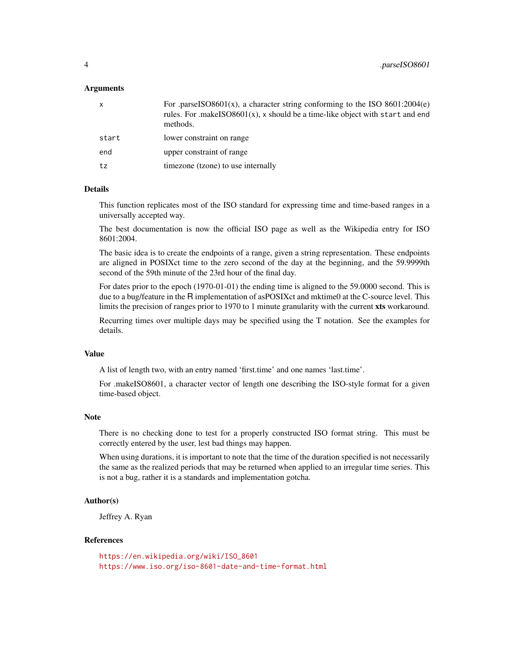| $\mathsf{x}$ | For .parseISO8601(x), a character string conforming to the ISO $8601:2004(e)$<br>rules. For .makeISO8601 $(x)$ , x should be a time-like object with start and end<br>methods. |
|--------------|--------------------------------------------------------------------------------------------------------------------------------------------------------------------------------|
| start        | lower constraint on range                                                                                                                                                      |
| end          | upper constraint of range                                                                                                                                                      |
| tz           | timezone (tzone) to use internally                                                                                                                                             |
|              |                                                                                                                                                                                |

# Details

This function replicates most of the ISO standard for expressing time and time-based ranges in a universally accepted way.

The best documentation is now the official ISO page as well as the Wikipedia entry for ISO 8601:2004.

The basic idea is to create the endpoints of a range, given a string representation. These endpoints are aligned in POSIXct time to the zero second of the day at the beginning, and the 59.9999th second of the 59th minute of the 23rd hour of the final day.

For dates prior to the epoch (1970-01-01) the ending time is aligned to the 59.0000 second. This is due to a bug/feature in the R implementation of asPOSIXct and mktime0 at the C-source level. This limits the precision of ranges prior to 1970 to 1 minute granularity with the current xts workaround.

Recurring times over multiple days may be specified using the T notation. See the examples for details.

#### Value

A list of length two, with an entry named 'first.time' and one names 'last.time'.

For .makeISO8601, a character vector of length one describing the ISO-style format for a given time-based object.

#### Note

There is no checking done to test for a properly constructed ISO format string. This must be correctly entered by the user, lest bad things may happen.

When using durations, it is important to note that the time of the duration specified is not necessarily the same as the realized periods that may be returned when applied to an irregular time series. This is not a bug, rather it is a standards and implementation gotcha.

# Author(s)

Jeffrey A. Ryan

#### References

[https://en.wikipedia.org/wiki/ISO\\_8601](https://en.wikipedia.org/wiki/ISO_8601) <https://www.iso.org/iso-8601-date-and-time-format.html>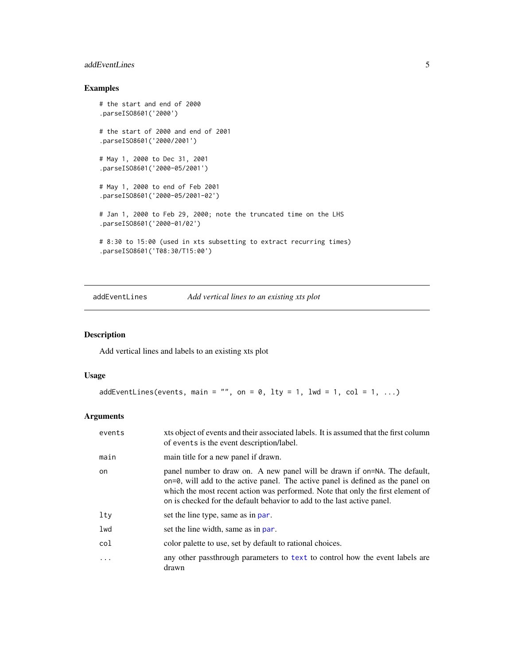# <span id="page-4-0"></span>addEventLines 5

# Examples

```
# the start and end of 2000
.parseISO8601('2000')
# the start of 2000 and end of 2001
.parseISO8601('2000/2001')
# May 1, 2000 to Dec 31, 2001
.parseISO8601('2000-05/2001')
# May 1, 2000 to end of Feb 2001
.parseISO8601('2000-05/2001-02')
# Jan 1, 2000 to Feb 29, 2000; note the truncated time on the LHS
.parseISO8601('2000-01/02')
# 8:30 to 15:00 (used in xts subsetting to extract recurring times)
.parseISO8601('T08:30/T15:00')
```
addEventLines *Add vertical lines to an existing xts plot*

# Description

Add vertical lines and labels to an existing xts plot

#### Usage

```
addEventLines(events, main = "", on = 0, lty = 1, lwd = 1, col = 1, ...)
```
## Arguments

| events | xts object of events and their associated labels. It is assumed that the first column<br>of events is the event description/label.                                                                                                                                                                                                  |
|--------|-------------------------------------------------------------------------------------------------------------------------------------------------------------------------------------------------------------------------------------------------------------------------------------------------------------------------------------|
| main   | main title for a new panel if drawn.                                                                                                                                                                                                                                                                                                |
| on     | panel number to draw on. A new panel will be drawn if on=NA. The default,<br>$\alpha$ on=0, will add to the active panel. The active panel is defined as the panel on<br>which the most recent action was performed. Note that only the first element of<br>on is checked for the default behavior to add to the last active panel. |
| lty    | set the line type, same as in par.                                                                                                                                                                                                                                                                                                  |
| lwd    | set the line width, same as in par.                                                                                                                                                                                                                                                                                                 |
| col    | color palette to use, set by default to rational choices.                                                                                                                                                                                                                                                                           |
|        | any other passthrough parameters to text to control how the event labels are<br>drawn                                                                                                                                                                                                                                               |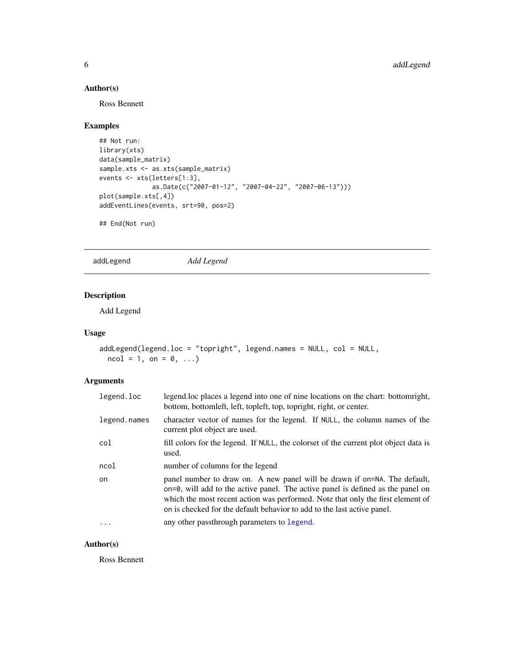# Author(s)

Ross Bennett

# Examples

```
## Not run:
library(xts)
data(sample_matrix)
sample.xts <- as.xts(sample_matrix)
events <- xts(letters[1:3],
              as.Date(c("2007-01-12", "2007-04-22", "2007-06-13")))
plot(sample.xts[,4])
addEventLines(events, srt=90, pos=2)
```
## End(Not run)

addLegend *Add Legend*

# Description

Add Legend

# Usage

```
addLegend(legend.loc = "topright", legend.names = NULL, col = NULL,
 ncol = 1, on = 0, ...)
```
# Arguments

| legend.loc   | legend.loc places a legend into one of nine locations on the chart: bottomright,<br>bottom, bottomleft, left, topleft, top, topright, right, or center.                                                                                                                                                                             |
|--------------|-------------------------------------------------------------------------------------------------------------------------------------------------------------------------------------------------------------------------------------------------------------------------------------------------------------------------------------|
| legend.names | character vector of names for the legend. If NULL, the column names of the<br>current plot object are used.                                                                                                                                                                                                                         |
| col          | fill colors for the legend. If NULL, the colorset of the current plot object data is<br>used.                                                                                                                                                                                                                                       |
| ncol         | number of columns for the legend                                                                                                                                                                                                                                                                                                    |
| on           | panel number to draw on. A new panel will be drawn if on=NA. The default,<br>$\alpha$ on=0, will add to the active panel. The active panel is defined as the panel on<br>which the most recent action was performed. Note that only the first element of<br>on is checked for the default behavior to add to the last active panel. |
|              | any other passthrough parameters to legend.                                                                                                                                                                                                                                                                                         |

# Author(s)

Ross Bennett

<span id="page-5-0"></span>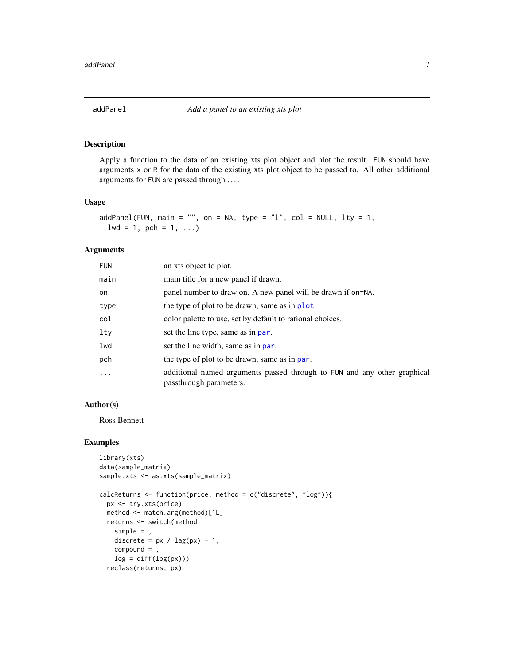<span id="page-6-1"></span><span id="page-6-0"></span>

Apply a function to the data of an existing xts plot object and plot the result. FUN should have arguments x or R for the data of the existing xts plot object to be passed to. All other additional arguments for FUN are passed through . . . .

#### Usage

```
addPanel(FUN, main = "", on = NA, type = "l", col = NULL, lty = 1,1wd = 1, pch = 1, ...)
```
#### Arguments

| <b>FUN</b> | an xts object to plot.                                                                              |
|------------|-----------------------------------------------------------------------------------------------------|
| main       | main title for a new panel if drawn.                                                                |
| on.        | panel number to draw on. A new panel will be drawn if on=NA.                                        |
| type       | the type of plot to be drawn, same as in plot.                                                      |
| col        | color palette to use, set by default to rational choices.                                           |
| lty        | set the line type, same as in par.                                                                  |
| lwd        | set the line width, same as in par.                                                                 |
| pch        | the type of plot to be drawn, same as in par.                                                       |
| $\ddotsc$  | additional named arguments passed through to FUN and any other graphical<br>passthrough parameters. |

#### Author(s)

Ross Bennett

# Examples

```
library(xts)
data(sample_matrix)
sample.xts <- as.xts(sample_matrix)
calcReturns <- function(price, method = c("discrete", "log")){
  px <- try.xts(price)
  method <- match.arg(method)[1L]
  returns <- switch(method,
   simple = ,
   discrete = px / lag(px) - 1,
   compound = ,
   log = diff(log(px)))reclass(returns, px)
```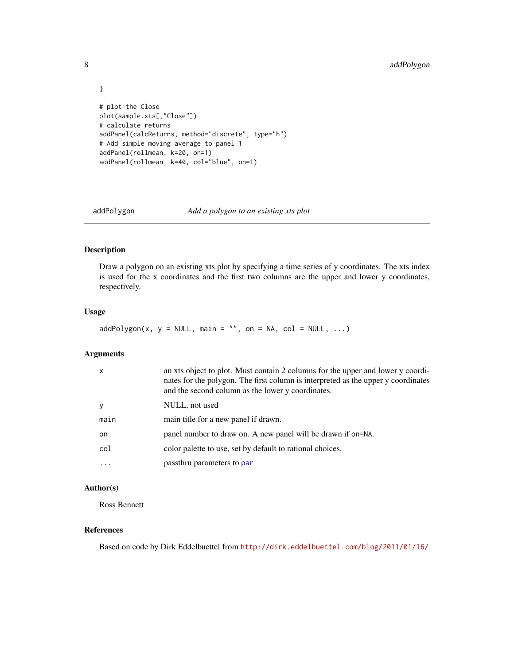```
}
# plot the Close
plot(sample.xts[,"Close"])
# calculate returns
addPanel(calcReturns, method="discrete", type="h")
# Add simple moving average to panel 1
addPanel(rollmean, k=20, on=1)
addPanel(rollmean, k=40, col="blue", on=1)
```
addPolygon *Add a polygon to an existing xts plot*

# Description

Draw a polygon on an existing xts plot by specifying a time series of y coordinates. The xts index is used for the x coordinates and the first two columns are the upper and lower y coordinates, respectively.

#### Usage

 $addPolygon(x, y = NULL, main = "", on = NA, col = NULL, ...)$ 

#### Arguments

| $\mathsf{x}$ | an xts object to plot. Must contain 2 columns for the upper and lower y coordi-<br>nates for the polygon. The first column is interpreted as the upper y coordinates<br>and the second column as the lower y coordinates. |
|--------------|---------------------------------------------------------------------------------------------------------------------------------------------------------------------------------------------------------------------------|
| y            | NULL, not used                                                                                                                                                                                                            |
| main         | main title for a new panel if drawn.                                                                                                                                                                                      |
| on.          | panel number to draw on. A new panel will be drawn if on=NA.                                                                                                                                                              |
| col          | color palette to use, set by default to rational choices.                                                                                                                                                                 |
|              | passthru parameters to par                                                                                                                                                                                                |

# Author(s)

Ross Bennett

# References

Based on code by Dirk Eddelbuettel from <http://dirk.eddelbuettel.com/blog/2011/01/16/>

<span id="page-7-0"></span>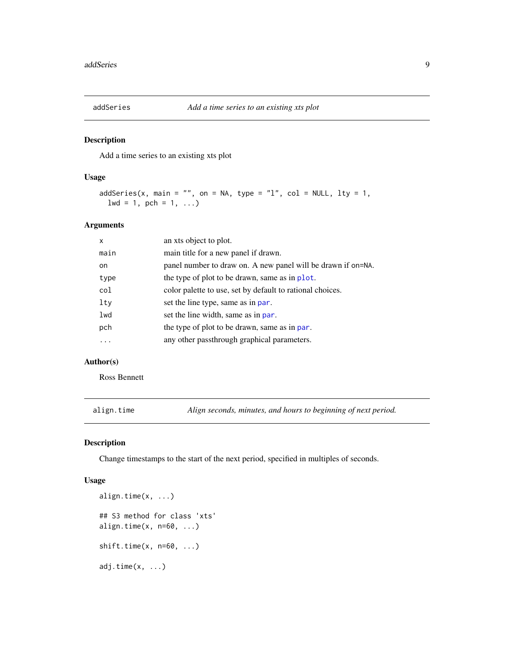<span id="page-8-2"></span><span id="page-8-0"></span>

Add a time series to an existing xts plot

#### Usage

```
addSeries(x, main = "", on = NA, type = "l", col = NULL, lty = 1,
 1wd = 1, pch = 1, ...)
```
#### Arguments

| x    | an xts object to plot.                                       |
|------|--------------------------------------------------------------|
| main | main title for a new panel if drawn.                         |
| on.  | panel number to draw on. A new panel will be drawn if on=NA. |
| type | the type of plot to be drawn, same as in plot.               |
| col  | color palette to use, set by default to rational choices.    |
| lty  | set the line type, same as in par.                           |
| lwd  | set the line width, same as in par.                          |
| pch  | the type of plot to be drawn, same as in par.                |
| .    | any other passthrough graphical parameters.                  |
|      |                                                              |

# Author(s)

Ross Bennett

<span id="page-8-1"></span>align.time *Align seconds, minutes, and hours to beginning of next period.*

#### Description

Change timestamps to the start of the next period, specified in multiples of seconds.

```
align.time(x, ...)
## S3 method for class 'xts'
align.time(x, n=60, ...)shift.time(x, n=60, ...)
adj.time(x, ...)
```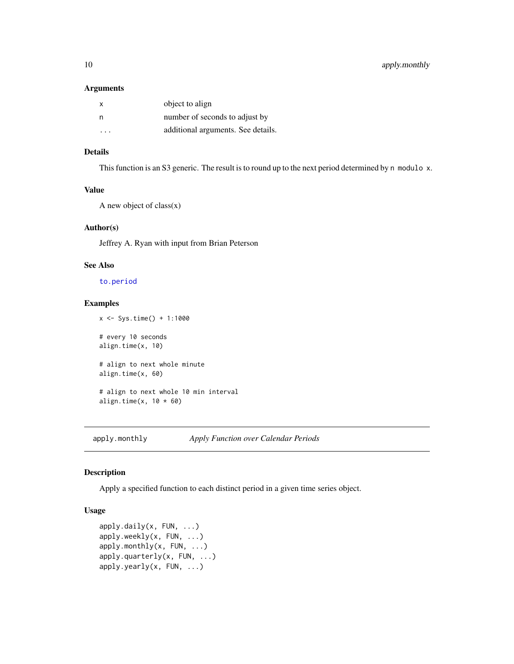<span id="page-9-0"></span>

| x | object to align                    |
|---|------------------------------------|
| n | number of seconds to adjust by     |
| . | additional arguments. See details. |

# Details

This function is an S3 generic. The result is to round up to the next period determined by n modulo x.

# Value

A new object of  $class(x)$ 

#### Author(s)

Jeffrey A. Ryan with input from Brian Peterson

#### See Also

[to.period](#page-49-1)

#### Examples

```
x <- Sys.time() + 1:1000
```
# every 10 seconds align.time(x, 10)

# align to next whole minute align.time(x, 60)

# align to next whole 10 min interval align.time(x,  $10 * 60$ )

<span id="page-9-1"></span>apply.monthly *Apply Function over Calendar Periods*

# Description

Apply a specified function to each distinct period in a given time series object.

```
apply.daily(x, FUN, ...)
apply.weekly(x, FUN, ...)
apply.monthly(x, FUN, ...)
apply.quarterly(x, FUN, ...)
apply.yearly(x, FUN, ...)
```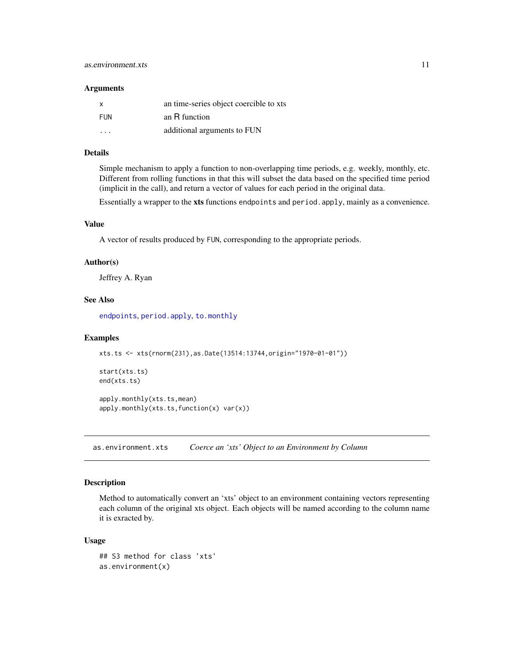<span id="page-10-0"></span>

| x          | an time-series object coercible to xts |
|------------|----------------------------------------|
| <b>FUN</b> | an R function                          |
| .          | additional arguments to FUN            |

#### Details

Simple mechanism to apply a function to non-overlapping time periods, e.g. weekly, monthly, etc. Different from rolling functions in that this will subset the data based on the specified time period (implicit in the call), and return a vector of values for each period in the original data.

Essentially a wrapper to the xts functions endpoints and period.apply, mainly as a convenience.

#### Value

A vector of results produced by FUN, corresponding to the appropriate periods.

# Author(s)

Jeffrey A. Ryan

# See Also

[endpoints](#page-21-1), [period.apply](#page-35-1), [to.monthly](#page-49-2)

#### Examples

```
xts.ts <- xts(rnorm(231),as.Date(13514:13744,origin="1970-01-01"))
```

```
start(xts.ts)
end(xts.ts)
```
apply.monthly(xts.ts,mean) apply.monthly(xts.ts,function(x) var(x))

as.environment.xts *Coerce an 'xts' Object to an Environment by Column*

#### Description

Method to automatically convert an 'xts' object to an environment containing vectors representing each column of the original xts object. Each objects will be named according to the column name it is exracted by.

```
## S3 method for class 'xts'
as.environment(x)
```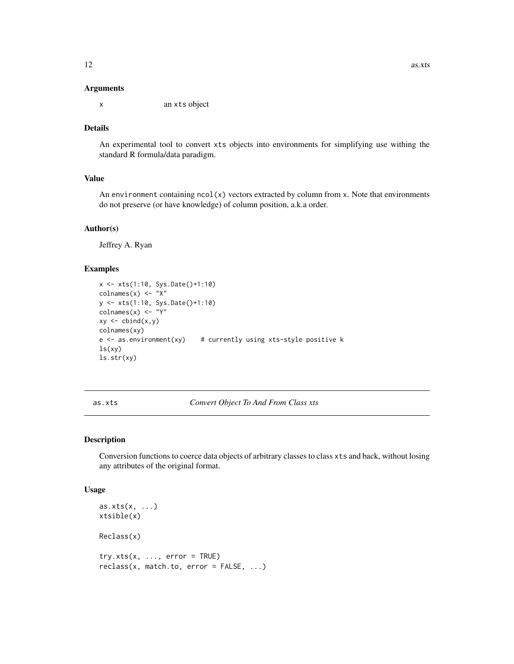<span id="page-11-0"></span>x an xts object

#### Details

An experimental tool to convert xts objects into environments for simplifying use withing the standard R formula/data paradigm.

#### Value

An environment containing  $ncol(x)$  vectors extracted by column from x. Note that environments do not preserve (or have knowledge) of column position, a.k.a order.

#### Author(s)

Jeffrey A. Ryan

#### Examples

```
x <- xts(1:10, Sys.Date()+1:10)
colnames(x) <- "X"
y <- xts(1:10, Sys.Date()+1:10)
colnames(x) <- "Y"
xy \leftarrow \text{cbind}(x, y)colnames(xy)
e \leq as.environment(xy) # currently using xts-style positive k
ls(xy)
ls.str(xy)
```
<span id="page-11-1"></span>as.xts *Convert Object To And From Class xts*

#### <span id="page-11-2"></span>Description

Conversion functions to coerce data objects of arbitrary classes to class xts and back, without losing any attributes of the original format.

```
as.xts(x, \ldots)xtsible(x)
Reclass(x)
try.xts(x, ..., error = TRUE)reclass(x, match.to, error = FALSE, ...)
```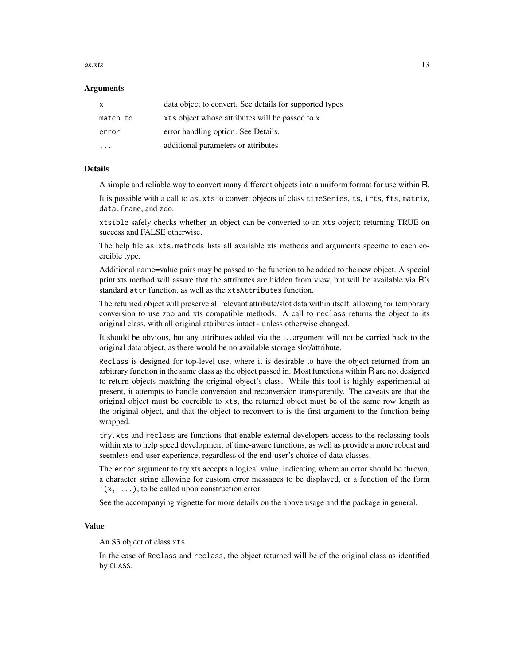#### $\frac{13}{2}$

#### Arguments

| X        | data object to convert. See details for supported types |
|----------|---------------------------------------------------------|
| match.to | xts object whose attributes will be passed to x         |
| error    | error handling option. See Details.                     |
| .        | additional parameters or attributes                     |

#### Details

A simple and reliable way to convert many different objects into a uniform format for use within R.

It is possible with a call to as.xts to convert objects of class timeSeries, ts, irts, fts, matrix, data.frame, and zoo.

xtsible safely checks whether an object can be converted to an xts object; returning TRUE on success and FALSE otherwise.

The help file as.xts.methods lists all available xts methods and arguments specific to each coercible type.

Additional name=value pairs may be passed to the function to be added to the new object. A special print.xts method will assure that the attributes are hidden from view, but will be available via R's standard attr function, as well as the xtsAttributes function.

The returned object will preserve all relevant attribute/slot data within itself, allowing for temporary conversion to use zoo and xts compatible methods. A call to reclass returns the object to its original class, with all original attributes intact - unless otherwise changed.

It should be obvious, but any attributes added via the ... argument will not be carried back to the original data object, as there would be no available storage slot/attribute.

Reclass is designed for top-level use, where it is desirable to have the object returned from an arbitrary function in the same class as the object passed in. Most functions within R are not designed to return objects matching the original object's class. While this tool is highly experimental at present, it attempts to handle conversion and reconversion transparently. The caveats are that the original object must be coercible to xts, the returned object must be of the same row length as the original object, and that the object to reconvert to is the first argument to the function being wrapped.

try.xts and reclass are functions that enable external developers access to the reclassing tools within xts to help speed development of time-aware functions, as well as provide a more robust and seemless end-user experience, regardless of the end-user's choice of data-classes.

The error argument to try.xts accepts a logical value, indicating where an error should be thrown, a character string allowing for custom error messages to be displayed, or a function of the form  $f(x, \ldots)$ , to be called upon construction error.

See the accompanying vignette for more details on the above usage and the package in general.

#### Value

An S3 object of class xts.

In the case of Reclass and reclass, the object returned will be of the original class as identified by CLASS.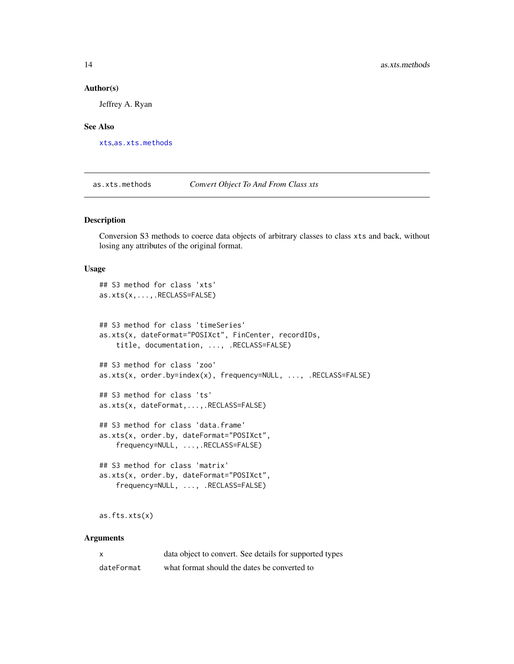#### Author(s)

Jeffrey A. Ryan

#### See Also

[xts](#page-53-1),[as.xts.methods](#page-13-1)

<span id="page-13-1"></span>as.xts.methods *Convert Object To And From Class xts*

# Description

Conversion S3 methods to coerce data objects of arbitrary classes to class xts and back, without losing any attributes of the original format.

#### Usage

```
## S3 method for class 'xts'
as.xts(x,...,.RECLASS=FALSE)
## S3 method for class 'timeSeries'
as.xts(x, dateFormat="POSIXct", FinCenter, recordIDs,
   title, documentation, ..., .RECLASS=FALSE)
## S3 method for class 'zoo'
as.xts(x, order.by=index(x), frequency=NULL, ..., .RECLASS=FALSE)
## S3 method for class 'ts'
as.xts(x, dateFormat,...,.RECLASS=FALSE)
## S3 method for class 'data.frame'
as.xts(x, order.by, dateFormat="POSIXct",
   frequency=NULL, ...,.RECLASS=FALSE)
## S3 method for class 'matrix'
as.xts(x, order.by, dateFormat="POSIXct",
    frequency=NULL, ..., .RECLASS=FALSE)
```
as.fts.xts(x)

#### Arguments

| $\times$   | data object to convert. See details for supported types |
|------------|---------------------------------------------------------|
| dateFormat | what format should the dates be converted to            |

<span id="page-13-0"></span>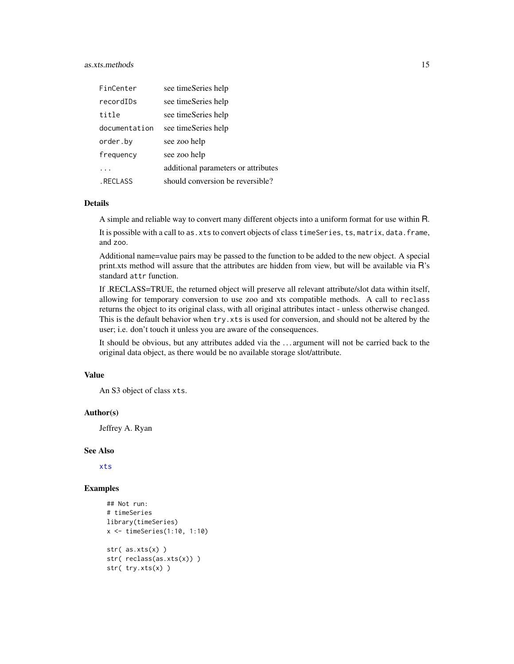# <span id="page-14-0"></span>as.xts.methods 15

| FinCenter     | see timeSeries help                 |
|---------------|-------------------------------------|
| recordIDs     | see timeSeries help                 |
| title         | see timeSeries help                 |
| documentation | see timeSeries help                 |
| order.by      | see zoo help                        |
| frequency     | see zoo help                        |
|               | additional parameters or attributes |
| . RECLASS     | should conversion be reversible?    |

# Details

A simple and reliable way to convert many different objects into a uniform format for use within R.

It is possible with a call to as. xts to convert objects of class timeSeries, ts, matrix, data.frame, and zoo.

Additional name=value pairs may be passed to the function to be added to the new object. A special print.xts method will assure that the attributes are hidden from view, but will be available via R's standard attr function.

If .RECLASS=TRUE, the returned object will preserve all relevant attribute/slot data within itself, allowing for temporary conversion to use zoo and xts compatible methods. A call to reclass returns the object to its original class, with all original attributes intact - unless otherwise changed. This is the default behavior when try.xts is used for conversion, and should not be altered by the user; i.e. don't touch it unless you are aware of the consequences.

It should be obvious, but any attributes added via the . . . argument will not be carried back to the original data object, as there would be no available storage slot/attribute.

# Value

An S3 object of class xts.

#### Author(s)

Jeffrey A. Ryan

#### See Also

[xts](#page-53-1)

## Examples

```
## Not run:
# timeSeries
library(timeSeries)
x <- timeSeries(1:10, 1:10)
str( as.xts(x) )
str( reclass(as.xts(x)) )
str( try.xts(x) )
```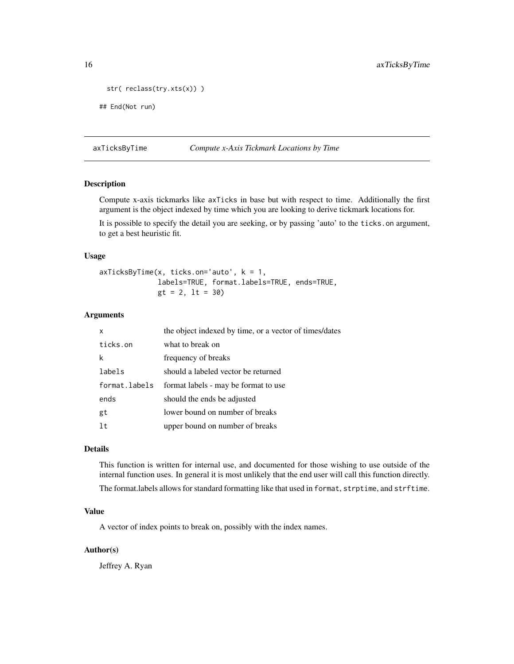```
str( reclass(try.xts(x)) )
```

```
## End(Not run)
```
<span id="page-15-1"></span>axTicksByTime *Compute x-Axis Tickmark Locations by Time*

# Description

Compute x-axis tickmarks like axTicks in base but with respect to time. Additionally the first argument is the object indexed by time which you are looking to derive tickmark locations for.

It is possible to specify the detail you are seeking, or by passing 'auto' to the ticks.on argument, to get a best heuristic fit.

#### Usage

```
axTicksByTime(x, ticks.on='auto', k = 1,
             labels=TRUE, format.labels=TRUE, ends=TRUE,
             gt = 2, lt = 30
```
# Arguments

| x             | the object indexed by time, or a vector of times/dates |
|---------------|--------------------------------------------------------|
| ticks.on      | what to break on                                       |
| k             | frequency of breaks                                    |
| labels        | should a labeled vector be returned                    |
| format.labels | format labels - may be format to use                   |
| ends          | should the ends be adjusted                            |
| gt            | lower bound on number of breaks                        |
| 1t            | upper bound on number of breaks                        |

# Details

This function is written for internal use, and documented for those wishing to use outside of the internal function uses. In general it is most unlikely that the end user will call this function directly.

The format.labels allows for standard formatting like that used in format, strptime, and strftime.

# Value

A vector of index points to break on, possibly with the index names.

### Author(s)

Jeffrey A. Ryan

<span id="page-15-0"></span>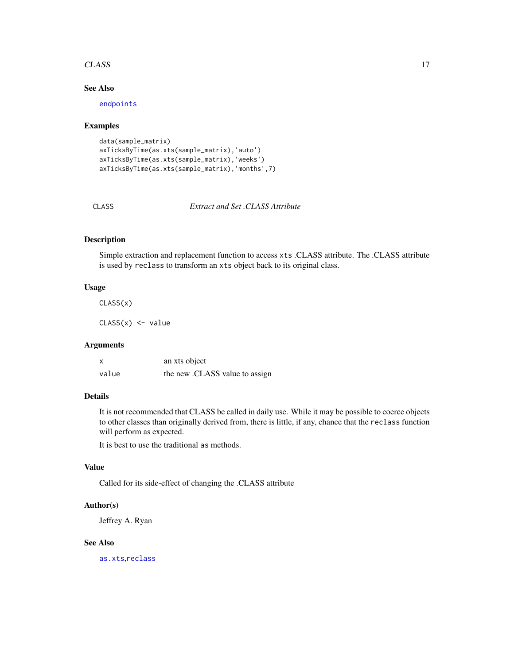#### <span id="page-16-0"></span>CLASS 17

# See Also

[endpoints](#page-21-1)

# Examples

```
data(sample_matrix)
axTicksByTime(as.xts(sample_matrix),'auto')
axTicksByTime(as.xts(sample_matrix),'weeks')
axTicksByTime(as.xts(sample_matrix),'months',7)
```
CLASS *Extract and Set .CLASS Attribute*

# Description

Simple extraction and replacement function to access xts .CLASS attribute. The .CLASS attribute is used by reclass to transform an xts object back to its original class.

#### Usage

CLASS(x)

 $CLASS(x)$  <- value

# Arguments

| X     | an xts object                  |
|-------|--------------------------------|
| value | the new .CLASS value to assign |

# Details

It is not recommended that CLASS be called in daily use. While it may be possible to coerce objects to other classes than originally derived from, there is little, if any, chance that the reclass function will perform as expected.

It is best to use the traditional as methods.

# Value

Called for its side-effect of changing the .CLASS attribute

#### Author(s)

Jeffrey A. Ryan

#### See Also

[as.xts](#page-11-1),[reclass](#page-11-2)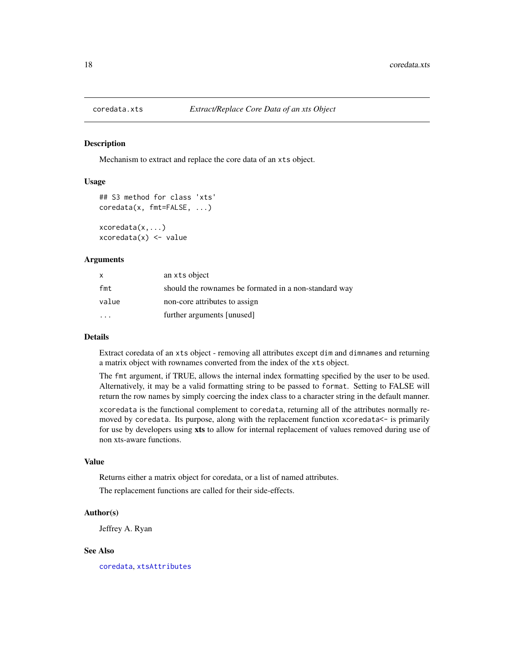<span id="page-17-0"></span>

Mechanism to extract and replace the core data of an xts object.

#### Usage

```
## S3 method for class 'xts'
coredata(x, fmt=FALSE, ...)
xcoredata(x,...)
xcoredata(x) < - value
```
#### Arguments

| X     | an xts object                                         |
|-------|-------------------------------------------------------|
| fmt   | should the rownames be formated in a non-standard way |
| value | non-core attributes to assign                         |
|       | further arguments [unused]                            |

# Details

Extract coredata of an xts object - removing all attributes except dim and dimnames and returning a matrix object with rownames converted from the index of the xts object.

The fmt argument, if TRUE, allows the internal index formatting specified by the user to be used. Alternatively, it may be a valid formatting string to be passed to format. Setting to FALSE will return the row names by simply coercing the index class to a character string in the default manner.

xcoredata is the functional complement to coredata, returning all of the attributes normally removed by coredata. Its purpose, along with the replacement function xcoredata<- is primarily for use by developers using xts to allow for internal replacement of values removed during use of non xts-aware functions.

# Value

Returns either a matrix object for coredata, or a list of named attributes.

The replacement functions are called for their side-effects.

#### Author(s)

Jeffrey A. Ryan

#### See Also

[coredata](#page-0-0), [xtsAttributes](#page-57-1)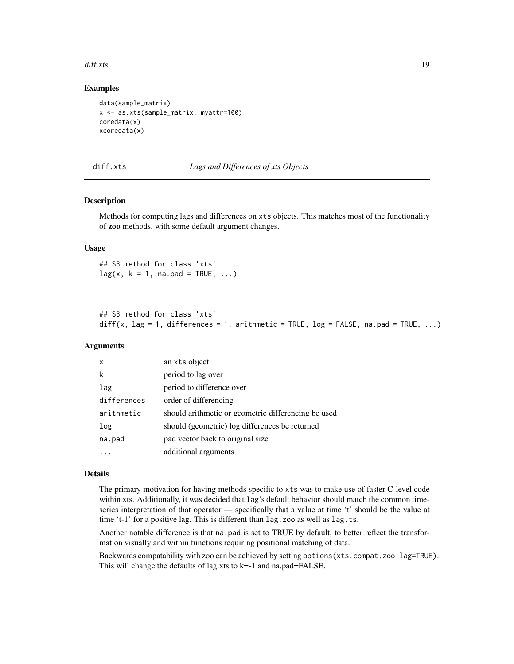#### <span id="page-18-0"></span>diff.xts and the state of the state of the state of the state of the state of the state of the state of the state of the state of the state of the state of the state of the state of the state of the state of the state of t

#### Examples

```
data(sample_matrix)
x <- as.xts(sample_matrix, myattr=100)
coredata(x)
xcoredata(x)
```
#### diff.xts *Lags and Differences of xts Objects*

#### Description

Methods for computing lags and differences on xts objects. This matches most of the functionality of zoo methods, with some default argument changes.

#### Usage

## S3 method for class 'xts'  $lag(x, k = 1, na.pad = TRUE, ...)$ 

```
## S3 method for class 'xts'
diff(x, \text{lag} = 1, differences = 1, arithmetic = TRUE, \log = FALSE, na.pad = TRUE, ...)
```
# Arguments

| $\mathsf{x}$ | an xts object                                       |
|--------------|-----------------------------------------------------|
| k            | period to lag over                                  |
| lag          | period to difference over                           |
| differences  | order of differencing                               |
| arithmetic   | should arithmetic or geometric differencing be used |
| log          | should (geometric) log differences be returned      |
| na.pad       | pad vector back to original size                    |
|              | additional arguments                                |

#### Details

The primary motivation for having methods specific to xts was to make use of faster C-level code within xts. Additionally, it was decided that lag's default behavior should match the common timeseries interpretation of that operator — specifically that a value at time 't' should be the value at time 't-1' for a positive lag. This is different than lag.zoo as well as lag.ts.

Another notable difference is that na.pad is set to TRUE by default, to better reflect the transformation visually and within functions requiring positional matching of data.

Backwards compatability with zoo can be achieved by setting options (xts.compat.zoo.lag=TRUE). This will change the defaults of lag.xts to k=-1 and na.pad=FALSE.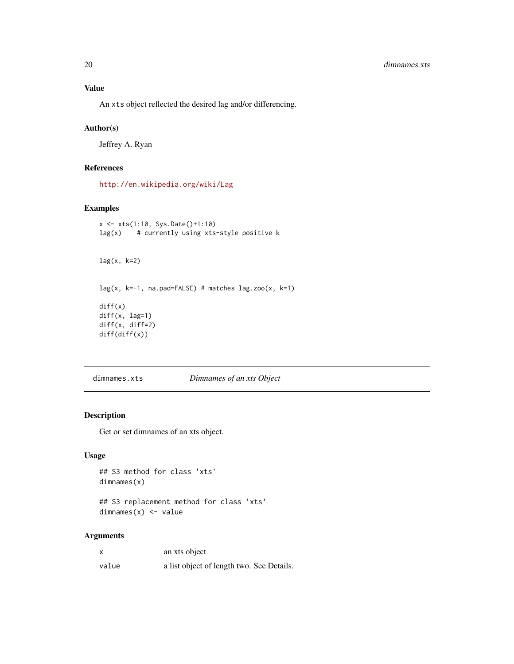<span id="page-19-0"></span>An xts object reflected the desired lag and/or differencing.

#### Author(s)

Jeffrey A. Ryan

# References

<http://en.wikipedia.org/wiki/Lag>

# Examples

```
x <- xts(1:10, Sys.Date()+1:10)
lag(x) # currently using xts-style positive k
lag(x, k=2)lag(x, k=-1, na.pad=FALSE) # matches lag.zoo(x, k=1)diff(x)diff(x, lag=1)
diff(x, diff=2)
diff(diff(x))
```
dimnames.xts *Dimnames of an xts Object*

### Description

Get or set dimnames of an xts object.

# Usage

```
## S3 method for class 'xts'
dimnames(x)
```
## S3 replacement method for class 'xts' dimnames(x) <- value

#### Arguments

|       | an xts object                             |
|-------|-------------------------------------------|
| value | a list object of length two. See Details. |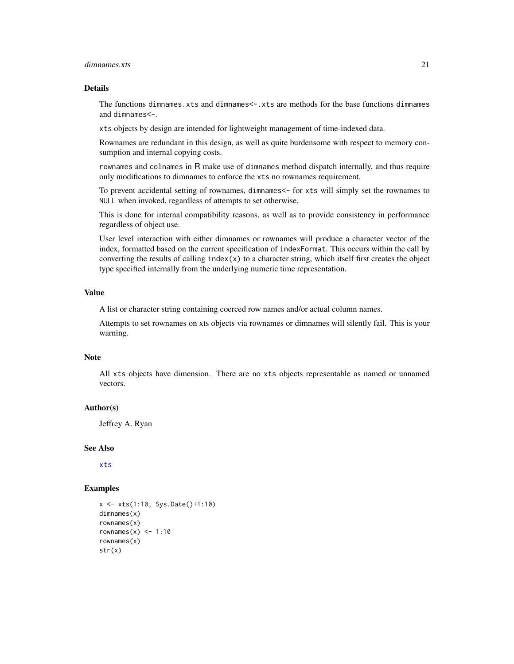#### <span id="page-20-0"></span>dimnames.xts 21

#### Details

The functions dimnames.xts and dimnames<-.xts are methods for the base functions dimnames and dimnames<-.

xts objects by design are intended for lightweight management of time-indexed data.

Rownames are redundant in this design, as well as quite burdensome with respect to memory consumption and internal copying costs.

rownames and colnames in R make use of dimnames method dispatch internally, and thus require only modifications to dimnames to enforce the xts no rownames requirement.

To prevent accidental setting of rownames, dimnames<- for xts will simply set the rownames to NULL when invoked, regardless of attempts to set otherwise.

This is done for internal compatibility reasons, as well as to provide consistency in performance regardless of object use.

User level interaction with either dimnames or rownames will produce a character vector of the index, formatted based on the current specification of indexFormat. This occurs within the call by converting the results of calling  $index(x)$  to a character string, which itself first creates the object type specified internally from the underlying numeric time representation.

# Value

A list or character string containing coerced row names and/or actual column names.

Attempts to set rownames on xts objects via rownames or dimnames will silently fail. This is your warning.

#### Note

All xts objects have dimension. There are no xts objects representable as named or unnamed vectors.

#### Author(s)

Jeffrey A. Ryan

#### See Also

[xts](#page-53-1)

#### Examples

```
x <- xts(1:10, Sys.Date()+1:10)
dimnames(x)
rownames(x)
rownames(x) <- 1:10
rownames(x)
str(x)
```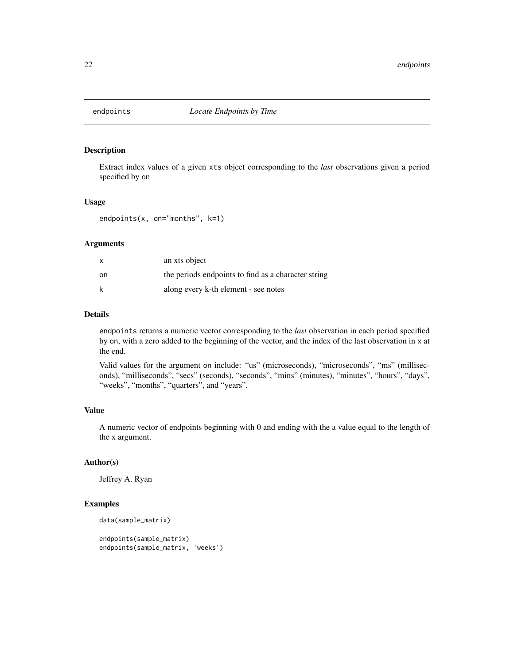<span id="page-21-1"></span><span id="page-21-0"></span>

Extract index values of a given xts object corresponding to the *last* observations given a period specified by on

# Usage

endpoints(x, on="months", k=1)

# Arguments

|    | an xts object                                       |
|----|-----------------------------------------------------|
| on | the periods endpoints to find as a character string |
| k  | along every k-th element - see notes                |

#### Details

endpoints returns a numeric vector corresponding to the *last* observation in each period specified by on, with a zero added to the beginning of the vector, and the index of the last observation in x at the end.

Valid values for the argument on include: "us" (microseconds), "microseconds", "ms" (milliseconds), "milliseconds", "secs" (seconds), "seconds", "mins" (minutes), "minutes", "hours", "days", "weeks", "months", "quarters", and "years".

# Value

A numeric vector of endpoints beginning with 0 and ending with the a value equal to the length of the x argument.

#### Author(s)

Jeffrey A. Ryan

#### Examples

```
data(sample_matrix)
```

```
endpoints(sample_matrix)
endpoints(sample_matrix, 'weeks')
```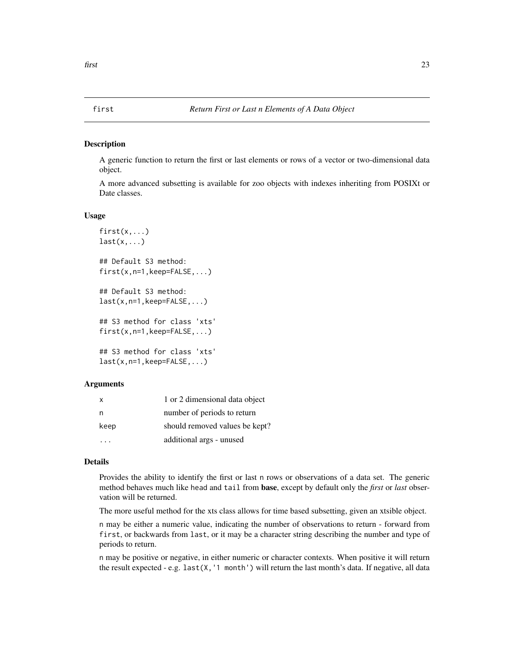<span id="page-22-0"></span>A generic function to return the first or last elements or rows of a vector or two-dimensional data object.

A more advanced subsetting is available for zoo objects with indexes inheriting from POSIXt or Date classes.

#### Usage

```
first(x,...)last(x, \ldots)## Default S3 method:
first(x,n=1,keep=FALSE,...)
## Default S3 method:
last(x,n=1,keep=FALSE,...)
## S3 method for class 'xts'
first(x,n=1,keep=FALSE,...)
## S3 method for class 'xts'
last(x,n=1,keep=FALSE,...)
```
#### Arguments

| $\mathsf{X}$ | 1 or 2 dimensional data object |
|--------------|--------------------------------|
| n            | number of periods to return    |
| keep         | should removed values be kept? |
|              | additional args - unused       |

#### Details

Provides the ability to identify the first or last n rows or observations of a data set. The generic method behaves much like head and tail from base, except by default only the *first* or *last* observation will be returned.

The more useful method for the xts class allows for time based subsetting, given an xtsible object.

n may be either a numeric value, indicating the number of observations to return - forward from first, or backwards from last, or it may be a character string describing the number and type of periods to return.

n may be positive or negative, in either numeric or character contexts. When positive it will return the result expected - e.g. last $(X, '1 \text{ month'})$  will return the last month's data. If negative, all data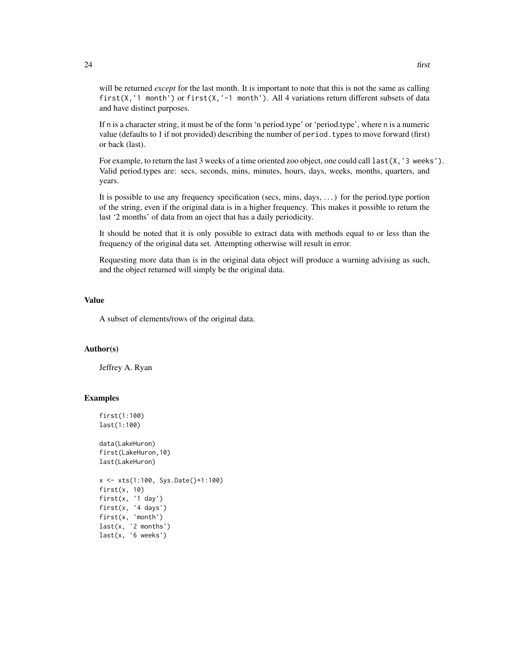will be returned *except* for the last month. It is important to note that this is not the same as calling first(X,'1 month') or first(X,'-1 month'). All 4 variations return different subsets of data and have distinct purposes.

If n is a character string, it must be of the form 'n period.type' or 'period.type', where n is a numeric value (defaults to 1 if not provided) describing the number of period.types to move forward (first) or back (last).

For example, to return the last 3 weeks of a time oriented zoo object, one could call last(X, '3 weeks'). Valid period.types are: secs, seconds, mins, minutes, hours, days, weeks, months, quarters, and years.

It is possible to use any frequency specification (secs, mins, days, . . . ) for the period.type portion of the string, even if the original data is in a higher frequency. This makes it possible to return the last '2 months' of data from an oject that has a daily periodicity.

It should be noted that it is only possible to extract data with methods equal to or less than the frequency of the original data set. Attempting otherwise will result in error.

Requesting more data than is in the original data object will produce a warning advising as such, and the object returned will simply be the original data.

#### Value

A subset of elements/rows of the original data.

#### Author(s)

Jeffrey A. Ryan

#### Examples

```
first(1:100)
last(1:100)
data(LakeHuron)
first(LakeHuron,10)
last(LakeHuron)
x <- xts(1:100, Sys.Date()+1:100)
first(x, 10)
first(x, '1 day')
first(x, '4 days')
first(x, 'month')
last(x, '2 months')
last(x, '6 weeks')
```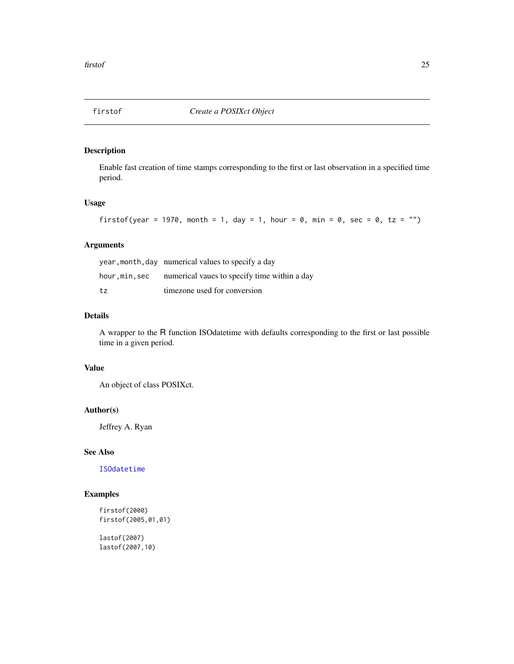<span id="page-24-0"></span>

Enable fast creation of time stamps corresponding to the first or last observation in a specified time period.

# Usage

firstof(year = 1970, month = 1, day = 1, hour = 0, min = 0, sec = 0, tz = "")

# Arguments

|              | year, month, day numerical values to specify a day |
|--------------|----------------------------------------------------|
| hour,min,sec | numerical vaues to specify time within a day       |
| tz           | timezone used for conversion                       |

# Details

A wrapper to the R function ISOdatetime with defaults corresponding to the first or last possible time in a given period.

# Value

An object of class POSIXct.

# Author(s)

Jeffrey A. Ryan

# See Also

[ISOdatetime](#page-0-0)

# Examples

```
firstof(2000)
firstof(2005,01,01)
```
lastof(2007) lastof(2007,10)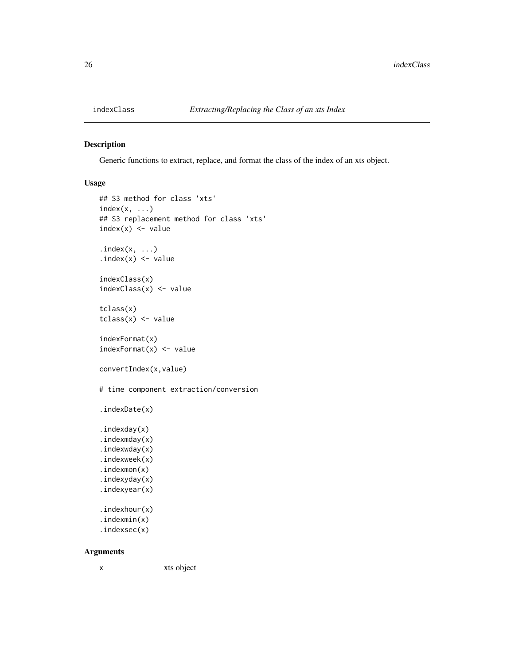<span id="page-25-0"></span>

Generic functions to extract, replace, and format the class of the index of an xts object.

# Usage

```
## S3 method for class 'xts'
index(x, \ldots)## S3 replacement method for class 'xts'
index(x) < - valueindex(x, ...)index(x) < -valueindexClass(x)
indexClass(x) <- value
tclass(x)
tclass(x) \leftarrow valueindexFormat(x)
indexFormat(x) < - valueconvertIndex(x,value)
# time component extraction/conversion
.indexDate(x)
.indexday(x)
.indexmday(x)
.indexwday(x)
.indexweek(x)
.indexmon(x)
.indexyday(x)
.indexyear(x)
.indexhour(x)
.indexmin(x)
.indexsec(x)
```
# Arguments

x xts object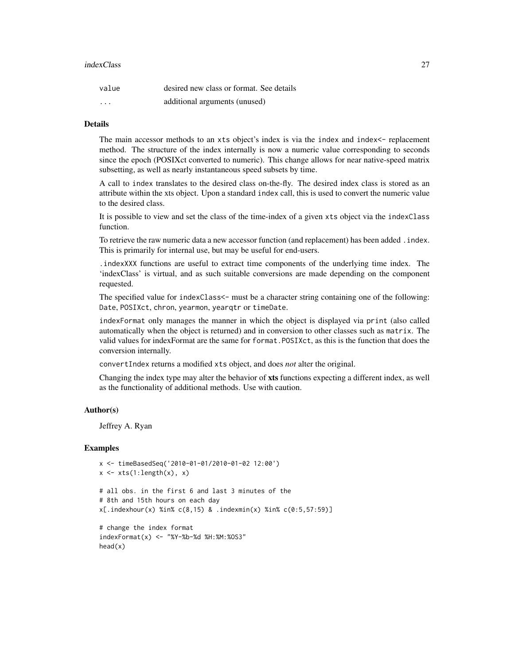#### indexClass 27

| value                   | desired new class or format. See details |
|-------------------------|------------------------------------------|
| $\cdot$ $\cdot$ $\cdot$ | additional arguments (unused)            |

# Details

The main accessor methods to an xts object's index is via the index and index  $\epsilon$ - replacement method. The structure of the index internally is now a numeric value corresponding to seconds since the epoch (POSIXct converted to numeric). This change allows for near native-speed matrix subsetting, as well as nearly instantaneous speed subsets by time.

A call to index translates to the desired class on-the-fly. The desired index class is stored as an attribute within the xts object. Upon a standard index call, this is used to convert the numeric value to the desired class.

It is possible to view and set the class of the time-index of a given xts object via the indexClass function.

To retrieve the raw numeric data a new accessor function (and replacement) has been added .index. This is primarily for internal use, but may be useful for end-users.

.indexXXX functions are useful to extract time components of the underlying time index. The 'indexClass' is virtual, and as such suitable conversions are made depending on the component requested.

The specified value for indexClass<- must be a character string containing one of the following: Date, POSIXct, chron, yearmon, yearqtr or timeDate.

indexFormat only manages the manner in which the object is displayed via print (also called automatically when the object is returned) and in conversion to other classes such as matrix. The valid values for indexFormat are the same for format.POSIXct, as this is the function that does the conversion internally.

convertIndex returns a modified xts object, and does *not* alter the original.

Changing the index type may alter the behavior of xts functions expecting a different index, as well as the functionality of additional methods. Use with caution.

#### Author(s)

Jeffrey A. Ryan

#### Examples

```
x <- timeBasedSeq('2010-01-01/2010-01-02 12:00')
x \leftarrow xts(1:length(x), x)# all obs. in the first 6 and last 3 minutes of the
# 8th and 15th hours on each day
x[.indexhour(x) %in% c(8,15) & .indexmin(x) %in% c(0:5,57:59)]
```

```
# change the index format
indexFormat(x) <- "%Y-%b-%d %H:%M:%OS3"
head(x)
```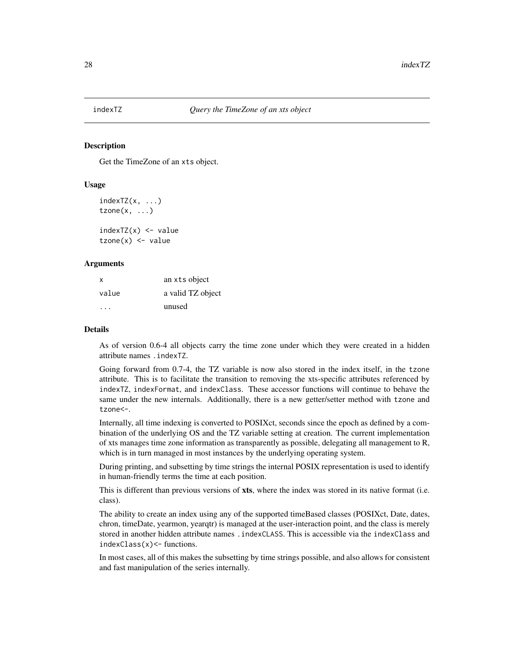<span id="page-27-0"></span>

Get the TimeZone of an xts object.

# Usage

```
indexTZ(x, ...)tzone(x, \ldots)
```
 $indexTZ(x) < - value$  $tzone(x) < -$  value

#### Arguments

| x     | an xts object     |
|-------|-------------------|
| value | a valid TZ object |
|       | unused            |

#### Details

As of version 0.6-4 all objects carry the time zone under which they were created in a hidden attribute names .indexTZ.

Going forward from 0.7-4, the TZ variable is now also stored in the index itself, in the tzone attribute. This is to facilitate the transition to removing the xts-specific attributes referenced by indexTZ, indexFormat, and indexClass. These accessor functions will continue to behave the same under the new internals. Additionally, there is a new getter/setter method with tzone and tzone<-.

Internally, all time indexing is converted to POSIXct, seconds since the epoch as defined by a combination of the underlying OS and the TZ variable setting at creation. The current implementation of xts manages time zone information as transparently as possible, delegating all management to R, which is in turn managed in most instances by the underlying operating system.

During printing, and subsetting by time strings the internal POSIX representation is used to identify in human-friendly terms the time at each position.

This is different than previous versions of xts, where the index was stored in its native format (i.e. class).

The ability to create an index using any of the supported timeBased classes (POSIXct, Date, dates, chron, timeDate, yearmon, yearqtr) is managed at the user-interaction point, and the class is merely stored in another hidden attribute names .indexCLASS. This is accessible via the indexClass and indexClass(x)<- functions.

In most cases, all of this makes the subsetting by time strings possible, and also allows for consistent and fast manipulation of the series internally.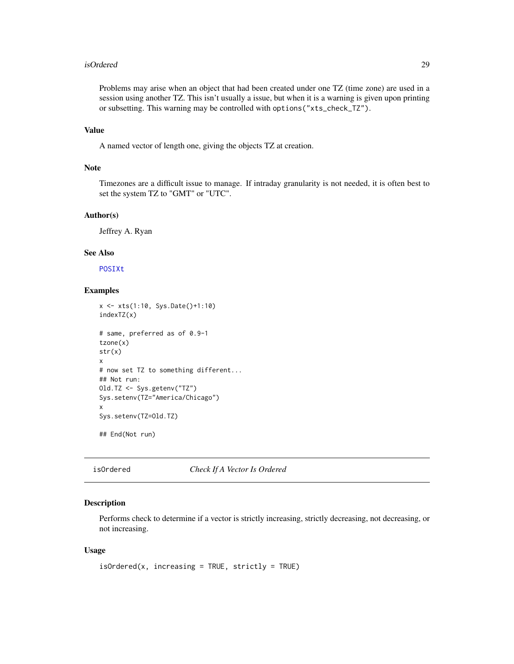#### <span id="page-28-0"></span>isOrdered 29

Problems may arise when an object that had been created under one TZ (time zone) are used in a session using another TZ. This isn't usually a issue, but when it is a warning is given upon printing or subsetting. This warning may be controlled with options("xts\_check\_TZ").

# Value

A named vector of length one, giving the objects TZ at creation.

#### Note

Timezones are a difficult issue to manage. If intraday granularity is not needed, it is often best to set the system TZ to "GMT" or "UTC".

#### Author(s)

Jeffrey A. Ryan

# See Also

[POSIXt](#page-0-0)

# Examples

```
x <- xts(1:10, Sys.Date()+1:10)
indexTZ(x)
# same, preferred as of 0.9-1
tzone(x)
str(x)
x
# now set TZ to something different...
## Not run:
Old.TZ <- Sys.getenv("TZ")
Sys.setenv(TZ="America/Chicago")
x
Sys.setenv(TZ=Old.TZ)
## End(Not run)
```
isOrdered *Check If A Vector Is Ordered*

# Description

Performs check to determine if a vector is strictly increasing, strictly decreasing, not decreasing, or not increasing.

```
isOrdered(x, increasing = TRUE, strictly = TRUE)
```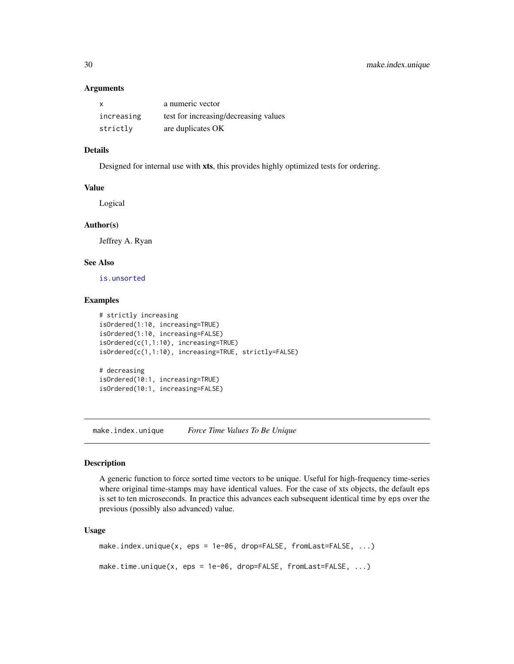| X          | a numeric vector                      |
|------------|---------------------------------------|
| increasing | test for increasing/decreasing values |
| strictly   | are duplicates OK                     |

# Details

Designed for internal use with xts, this provides highly optimized tests for ordering.

#### Value

Logical

#### Author(s)

Jeffrey A. Ryan

# See Also

[is.unsorted](#page-0-0)

#### Examples

```
# strictly increasing
isOrdered(1:10, increasing=TRUE)
isOrdered(1:10, increasing=FALSE)
isOrdered(c(1,1:10), increasing=TRUE)
isOrdered(c(1,1:10), increasing=TRUE, strictly=FALSE)
# decreasing
isOrdered(10:1, increasing=TRUE)
isOrdered(10:1, increasing=FALSE)
```
make.index.unique *Force Time Values To Be Unique*

#### Description

A generic function to force sorted time vectors to be unique. Useful for high-frequency time-series where original time-stamps may have identical values. For the case of xts objects, the default eps is set to ten microseconds. In practice this advances each subsequent identical time by eps over the previous (possibly also advanced) value.

```
make.index.unique(x, eps = 1e-06, drop=FALSE, fromLast=FALSE, ...)
make.time.unique(x, eps = 1e-06, drop=FALSE, fromLast=FALSE, ...)
```
<span id="page-29-0"></span>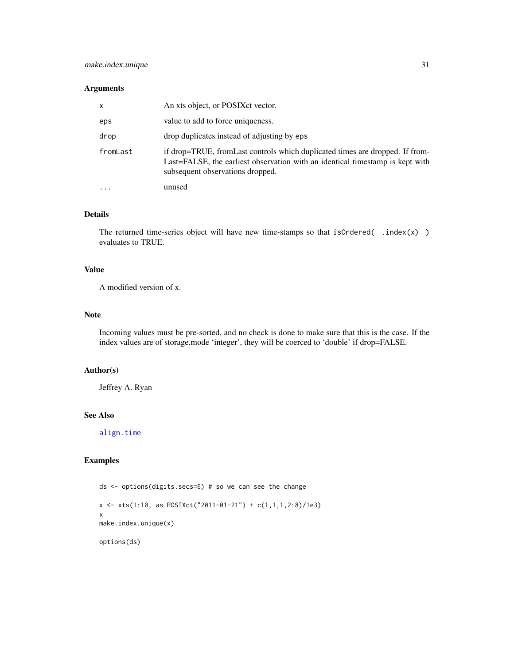<span id="page-30-0"></span>

| $\mathsf{x}$ | An xts object, or POSIX et vector.                                                                                                                                                                |
|--------------|---------------------------------------------------------------------------------------------------------------------------------------------------------------------------------------------------|
| eps          | value to add to force uniqueness.                                                                                                                                                                 |
| drop         | drop duplicates instead of adjusting by eps                                                                                                                                                       |
| fromLast     | if drop=TRUE, fromLast controls which duplicated times are dropped. If from-<br>Last=FALSE, the earliest observation with an identical timestamp is kept with<br>subsequent observations dropped. |
|              | unused                                                                                                                                                                                            |

# Details

The returned time-series object will have new time-stamps so that isOrdered( .index(x) ) evaluates to TRUE.

# Value

A modified version of x.

#### Note

Incoming values must be pre-sorted, and no check is done to make sure that this is the case. If the index values are of storage.mode 'integer', they will be coerced to 'double' if drop=FALSE.

# Author(s)

Jeffrey A. Ryan

# See Also

[align.time](#page-8-1)

# Examples

ds <- options(digits.secs=6) # so we can see the change x <- xts(1:10, as.POSIXct("2011-01-21") + c(1,1,1,2:8)/1e3) x make.index.unique(x) options(ds)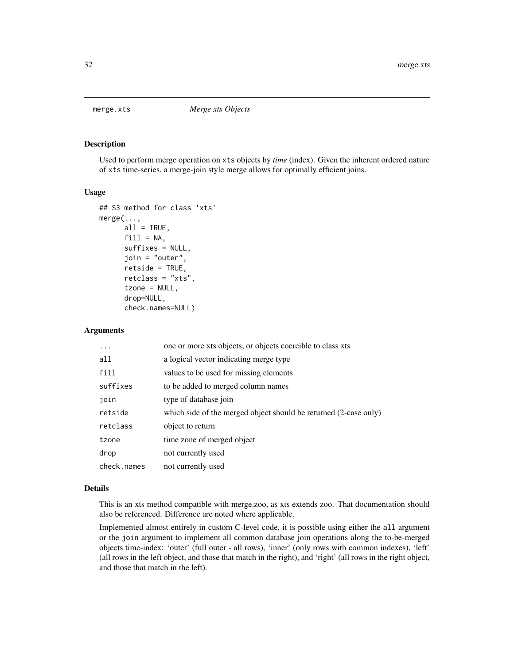<span id="page-31-1"></span><span id="page-31-0"></span>

Used to perform merge operation on xts objects by *time* (index). Given the inherent ordered nature of xts time-series, a merge-join style merge allows for optimally efficient joins.

#### Usage

```
## S3 method for class 'xts'
merge(...,
      all = TRUE,fill = NA,suffixes = NULL,
      join = "outer",
      retside = TRUE,
      retclass = "xts",
      tzone = NULL,
      drop=NULL,
      check.names=NULL)
```
#### Arguments

| one or more xts objects, or objects coercible to class xts       |
|------------------------------------------------------------------|
| a logical vector indicating merge type                           |
| values to be used for missing elements                           |
| to be added to merged column names                               |
| type of database join                                            |
| which side of the merged object should be returned (2-case only) |
| object to return                                                 |
| time zone of merged object                                       |
| not currently used                                               |
| not currently used                                               |
|                                                                  |

# Details

This is an xts method compatible with merge.zoo, as xts extends zoo. That documentation should also be referenced. Difference are noted where applicable.

Implemented almost entirely in custom C-level code, it is possible using either the all argument or the join argument to implement all common database join operations along the to-be-merged objects time-index: 'outer' (full outer - all rows), 'inner' (only rows with common indexes), 'left' (all rows in the left object, and those that match in the right), and 'right' (all rows in the right object, and those that match in the left).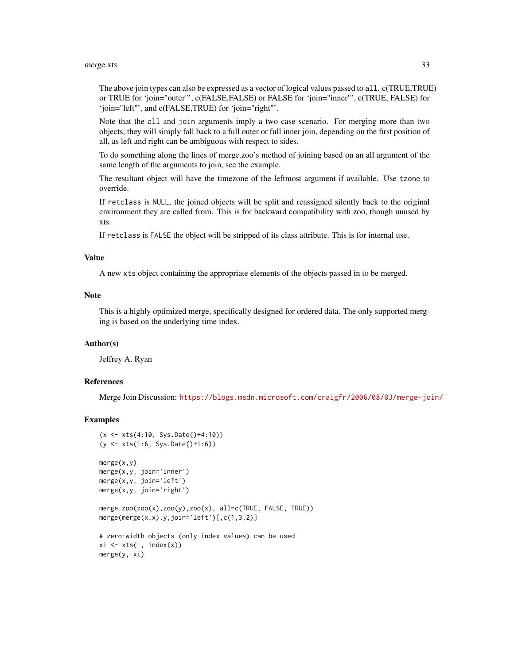#### merge.xts 33

The above join types can also be expressed as a vector of logical values passed to all. c(TRUE, TRUE) or TRUE for 'join="outer"', c(FALSE,FALSE) or FALSE for 'join="inner"', c(TRUE, FALSE) for 'join="left"', and c(FALSE,TRUE) for 'join="right"'.

Note that the all and join arguments imply a two case scenario. For merging more than two objects, they will simply fall back to a full outer or full inner join, depending on the first position of all, as left and right can be ambiguous with respect to sides.

To do something along the lines of merge.zoo's method of joining based on an all argument of the same length of the arguments to join, see the example.

The resultant object will have the timezone of the leftmost argument if available. Use tzone to override.

If retclass is NULL, the joined objects will be split and reassigned silently back to the original environment they are called from. This is for backward compatibility with zoo, though unused by xts.

If retclass is FALSE the object will be stripped of its class attribute. This is for internal use.

#### Value

A new xts object containing the appropriate elements of the objects passed in to be merged.

#### **Note**

This is a highly optimized merge, specifically designed for ordered data. The only supported merging is based on the underlying time index.

#### Author(s)

Jeffrey A. Ryan

#### References

Merge Join Discussion: <https://blogs.msdn.microsoft.com/craigfr/2006/08/03/merge-join/>

#### Examples

```
(x <- xts(4:10, Sys.Date()+4:10))
(y <- xts(1:6, Sys.Date()+1:6))
merge(x,y)
merge(x,y, join='inner')
merge(x,y, join='left')
merge(x,y, join='right')
merge.zoo(zoo(x),zoo(y),zoo(x), all=c(TRUE, FALSE, TRUE))
merge(merge(x,x),y,join='left')[,c(1,3,2)]
# zero-width objects (only index values) can be used
xi \leftarrow xts(, index(x))merge(y, xi)
```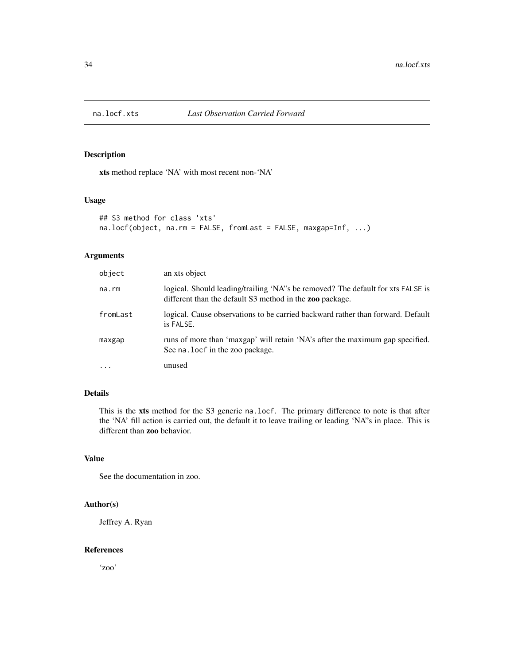<span id="page-33-0"></span>

xts method replace 'NA' with most recent non-'NA'

# Usage

```
## S3 method for class 'xts'
na.locf(object, na.rm = FALSE, fromLast = FALSE, maxgap=Inf, ...)
```
# Arguments

| object   | an xts object                                                                                                                                |
|----------|----------------------------------------------------------------------------------------------------------------------------------------------|
| na.rm    | logical. Should leading/trailing 'NA''s be removed? The default for xts FALSE is<br>different than the default S3 method in the zoo package. |
| fromLast | logical. Cause observations to be carried backward rather than forward. Default<br>is FALSE.                                                 |
| maxgap   | runs of more than 'maxgap' will retain 'NA's after the maximum gap specified.<br>See na. locf in the zoo package.                            |
|          | unused                                                                                                                                       |

# Details

This is the xts method for the S3 generic na.locf. The primary difference to note is that after the 'NA' fill action is carried out, the default it to leave trailing or leading 'NA"s in place. This is different than zoo behavior.

# Value

See the documentation in zoo.

#### Author(s)

Jeffrey A. Ryan

# References

'zoo'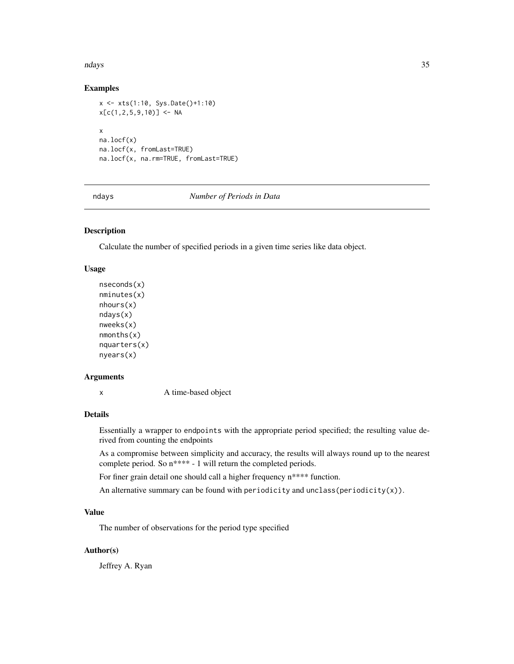#### <span id="page-34-0"></span>ndays 35

# Examples

```
x <- xts(1:10, Sys.Date()+1:10)
x[c(1, 2, 5, 9, 10)] <- NA
x
na.locf(x)
na.locf(x, fromLast=TRUE)
na.locf(x, na.rm=TRUE, fromLast=TRUE)
```
ndays *Number of Periods in Data*

# Description

Calculate the number of specified periods in a given time series like data object.

#### Usage

```
nseconds(x)
nminutes(x)
nhours(x)
ndays(x)
nweeks(x)
nmonths(x)
nquarters(x)
nyears(x)
```
#### Arguments

x A time-based object

# Details

Essentially a wrapper to endpoints with the appropriate period specified; the resulting value derived from counting the endpoints

As a compromise between simplicity and accuracy, the results will always round up to the nearest complete period. So n\*\*\*\* - 1 will return the completed periods.

For finer grain detail one should call a higher frequency n\*\*\*\* function.

An alternative summary can be found with periodicity and unclass(periodicity(x)).

# Value

The number of observations for the period type specified

# Author(s)

Jeffrey A. Ryan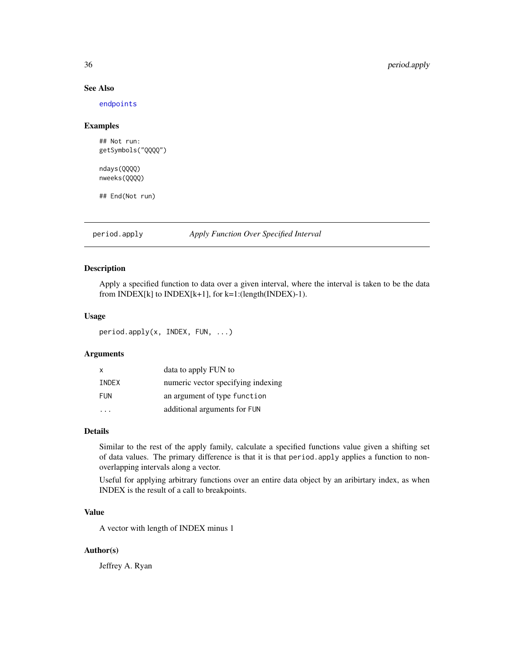# See Also

[endpoints](#page-21-1)

#### Examples

## Not run: getSymbols("QQQQ")

ndays(QQQQ) nweeks(QQQQ)

## End(Not run)

<span id="page-35-1"></span>period.apply *Apply Function Over Specified Interval*

# Description

Apply a specified function to data over a given interval, where the interval is taken to be the data from INDEX $[k]$  to INDEX $[k+1]$ , for  $k=1$ :(length(INDEX)-1).

# Usage

period.apply(x, INDEX, FUN, ...)

# Arguments

| x          | data to apply FUN to               |
|------------|------------------------------------|
| INDEX      | numeric vector specifying indexing |
| <b>FUN</b> | an argument of type function       |
|            | additional arguments for FUN       |

# Details

Similar to the rest of the apply family, calculate a specified functions value given a shifting set of data values. The primary difference is that it is that period.apply applies a function to nonoverlapping intervals along a vector.

Useful for applying arbitrary functions over an entire data object by an aribirtary index, as when INDEX is the result of a call to breakpoints.

# Value

A vector with length of INDEX minus 1

#### Author(s)

Jeffrey A. Ryan

<span id="page-35-0"></span>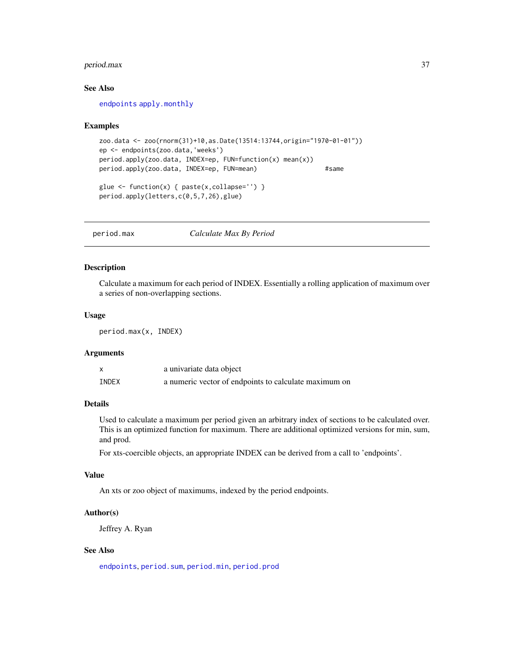# <span id="page-36-0"></span>period.max 37

# See Also

[endpoints](#page-21-1) [apply.monthly](#page-9-1)

#### Examples

```
zoo.data <- zoo(rnorm(31)+10,as.Date(13514:13744,origin="1970-01-01"))
ep <- endpoints(zoo.data,'weeks')
period.apply(zoo.data, INDEX=ep, FUN=function(x) mean(x))
period.apply(zoo.data, INDEX=ep, FUN=mean) #same
glue <- function(x) { paste(x,collapse='') }
period.apply(letters,c(0,5,7,26),glue)
```
<span id="page-36-1"></span>period.max *Calculate Max By Period*

#### Description

Calculate a maximum for each period of INDEX. Essentially a rolling application of maximum over a series of non-overlapping sections.

#### Usage

period.max(x, INDEX)

#### Arguments

| $\boldsymbol{\mathsf{x}}$ | a univariate data object                              |
|---------------------------|-------------------------------------------------------|
| INDEX                     | a numeric vector of endpoints to calculate maximum on |

### Details

Used to calculate a maximum per period given an arbitrary index of sections to be calculated over. This is an optimized function for maximum. There are additional optimized versions for min, sum, and prod.

For xts-coercible objects, an appropriate INDEX can be derived from a call to 'endpoints'.

#### Value

An xts or zoo object of maximums, indexed by the period endpoints.

#### Author(s)

Jeffrey A. Ryan

#### See Also

[endpoints](#page-21-1), [period.sum](#page-39-1), [period.min](#page-37-1), [period.prod](#page-38-1)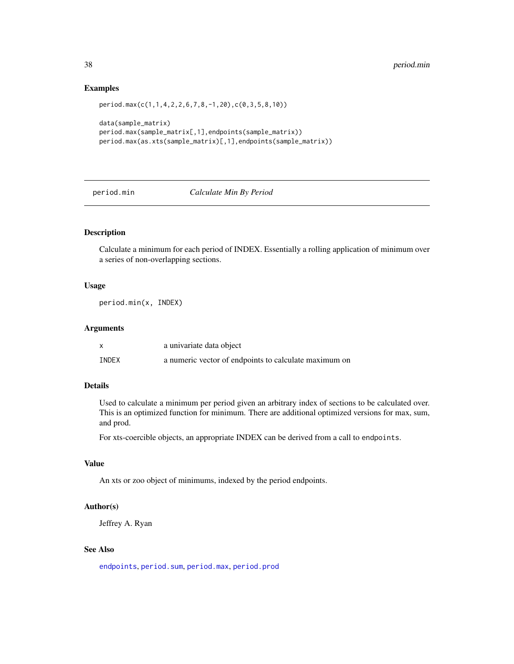#### Examples

```
period.max(c(1,1,4,2,2,6,7,8,-1,20),c(0,3,5,8,10))
data(sample_matrix)
period.max(sample_matrix[,1],endpoints(sample_matrix))
period.max(as.xts(sample_matrix)[,1],endpoints(sample_matrix))
```
#### <span id="page-37-1"></span>period.min *Calculate Min By Period*

#### Description

Calculate a minimum for each period of INDEX. Essentially a rolling application of minimum over a series of non-overlapping sections.

### Usage

period.min(x, INDEX)

# Arguments

|       | a univariate data object                              |
|-------|-------------------------------------------------------|
| INDEX | a numeric vector of endpoints to calculate maximum on |

# Details

Used to calculate a minimum per period given an arbitrary index of sections to be calculated over. This is an optimized function for minimum. There are additional optimized versions for max, sum, and prod.

For xts-coercible objects, an appropriate INDEX can be derived from a call to endpoints.

# Value

An xts or zoo object of minimums, indexed by the period endpoints.

#### Author(s)

Jeffrey A. Ryan

# See Also

[endpoints](#page-21-1), [period.sum](#page-39-1), [period.max](#page-36-1), [period.prod](#page-38-1)

<span id="page-37-0"></span>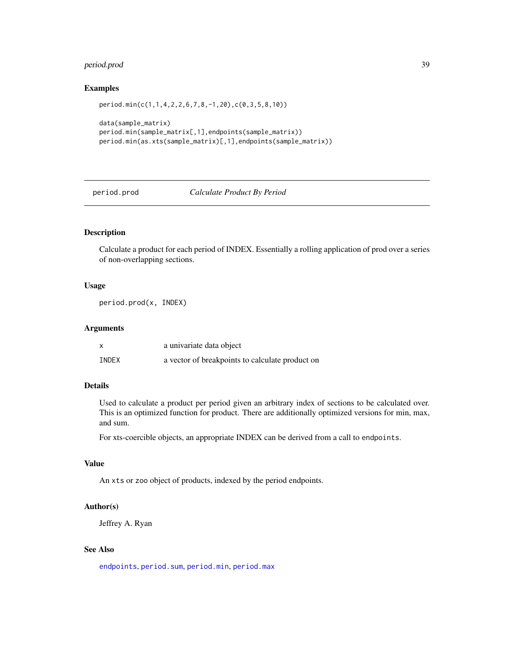# <span id="page-38-0"></span>period.prod 39

#### Examples

```
period.min(c(1,1,4,2,2,6,7,8,-1,20),c(0,3,5,8,10))
data(sample_matrix)
period.min(sample_matrix[,1],endpoints(sample_matrix))
period.min(as.xts(sample_matrix)[,1],endpoints(sample_matrix))
```
#### <span id="page-38-1"></span>period.prod *Calculate Product By Period*

#### Description

Calculate a product for each period of INDEX. Essentially a rolling application of prod over a series of non-overlapping sections.

#### Usage

period.prod(x, INDEX)

# Arguments

|       | a univariate data object                        |
|-------|-------------------------------------------------|
| INDEX | a vector of breakpoints to calculate product on |

# Details

Used to calculate a product per period given an arbitrary index of sections to be calculated over. This is an optimized function for product. There are additionally optimized versions for min, max, and sum.

For xts-coercible objects, an appropriate INDEX can be derived from a call to endpoints.

# Value

An xts or zoo object of products, indexed by the period endpoints.

#### Author(s)

Jeffrey A. Ryan

# See Also

[endpoints](#page-21-1), [period.sum](#page-39-1), [period.min](#page-37-1), [period.max](#page-36-1)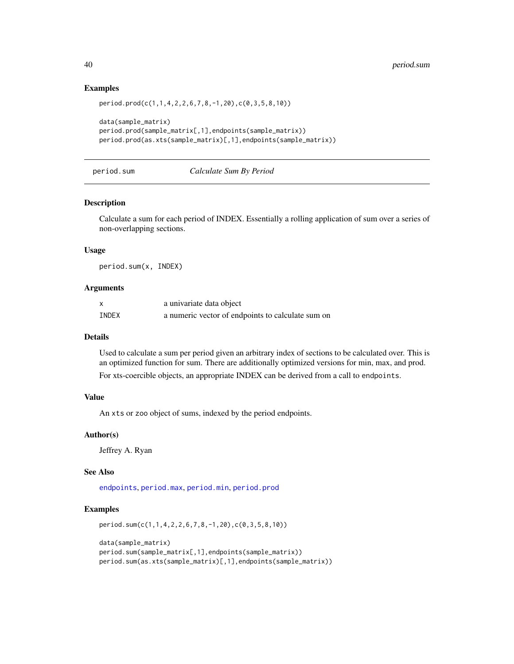### Examples

```
period.prod(c(1,1,4,2,2,6,7,8,-1,20),c(0,3,5,8,10))
```

```
data(sample_matrix)
period.prod(sample_matrix[,1],endpoints(sample_matrix))
period.prod(as.xts(sample_matrix)[,1],endpoints(sample_matrix))
```
# <span id="page-39-1"></span>period.sum *Calculate Sum By Period*

#### Description

Calculate a sum for each period of INDEX. Essentially a rolling application of sum over a series of non-overlapping sections.

#### Usage

period.sum(x, INDEX)

#### Arguments

| X     | a univariate data object                          |
|-------|---------------------------------------------------|
| INDEX | a numeric vector of endpoints to calculate sum on |

# Details

Used to calculate a sum per period given an arbitrary index of sections to be calculated over. This is an optimized function for sum. There are additionally optimized versions for min, max, and prod. For xts-coercible objects, an appropriate INDEX can be derived from a call to endpoints.

# Value

An xts or zoo object of sums, indexed by the period endpoints.

#### Author(s)

Jeffrey A. Ryan

#### See Also

[endpoints](#page-21-1), [period.max](#page-36-1), [period.min](#page-37-1), [period.prod](#page-38-1)

#### Examples

```
period.sum(c(1,1,4,2,2,6,7,8,-1,20),c(0,3,5,8,10))
```

```
data(sample_matrix)
period.sum(sample_matrix[,1],endpoints(sample_matrix))
period.sum(as.xts(sample_matrix)[,1],endpoints(sample_matrix))
```
<span id="page-39-0"></span>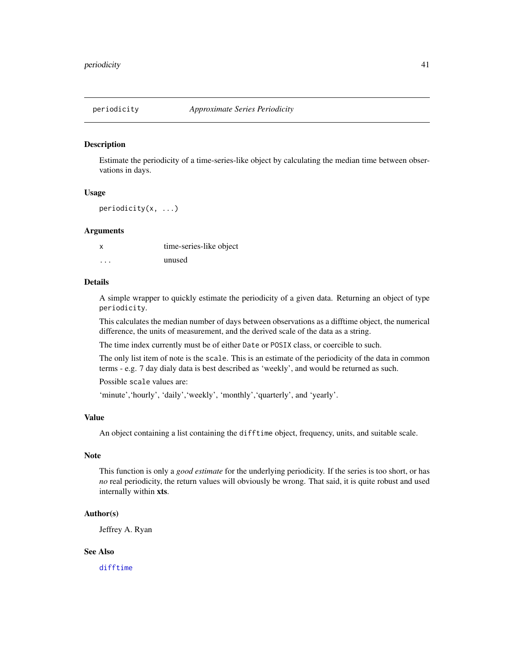<span id="page-40-0"></span>

Estimate the periodicity of a time-series-like object by calculating the median time between observations in days.

#### Usage

periodicity(x, ...)

# Arguments

| X | time-series-like object |
|---|-------------------------|
| . | unused                  |

# Details

A simple wrapper to quickly estimate the periodicity of a given data. Returning an object of type periodicity.

This calculates the median number of days between observations as a difftime object, the numerical difference, the units of measurement, and the derived scale of the data as a string.

The time index currently must be of either Date or POSIX class, or coercible to such.

The only list item of note is the scale. This is an estimate of the periodicity of the data in common terms - e.g. 7 day dialy data is best described as 'weekly', and would be returned as such.

Possible scale values are:

'minute','hourly','daily','weekly', 'monthly','quarterly', and 'yearly'.

#### Value

An object containing a list containing the difftime object, frequency, units, and suitable scale.

#### Note

This function is only a *good estimate* for the underlying periodicity. If the series is too short, or has *no* real periodicity, the return values will obviously be wrong. That said, it is quite robust and used internally within xts.

# Author(s)

Jeffrey A. Ryan

#### See Also

[difftime](#page-0-0)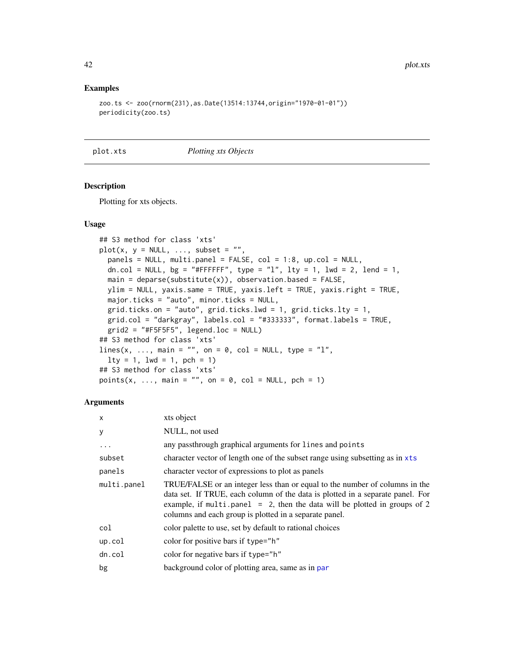#### Examples

```
zoo.ts <- zoo(rnorm(231),as.Date(13514:13744,origin="1970-01-01"))
periodicity(zoo.ts)
```
plot.xts *Plotting xts Objects*

#### Description

Plotting for xts objects.

#### Usage

```
## S3 method for class 'xts'
plot(x, y = NULL, ..., subset = "",panes = NULL, multi.panel = FALSE, col = 1:8, up,col = NULL,dn.col = NULL, bg = "{\#}FFFFFF", type = "l", lty = 1, lwd = 2, lend = 1,
 main = deparse(substitute(x)), observation-based = FALSE,ylim = NULL, yaxis.same = TRUE, yaxis.left = TRUE, yaxis.right = TRUE,
 major.ticks = "auto", minor.ticks = NULL,
 grid.ticks.on = "auto", grid.ticks.lwd = 1, grid.ticks.lty = 1,
 grid,col = "darkgray", labels,col = "#333333", format_labels = TRUE,grid2 = "HFSF5F5", legend.loc = NULL)## S3 method for class 'xts'
lines(x, ..., main = "", on = 0, col = NULL, type = "l",
  lty = 1, lwd = 1, pch = 1)
## S3 method for class 'xts'
points(x, ..., main = "", on = 0, col = NULL, pch = 1)
```
#### Arguments

| $\mathsf{x}$ | xts object                                                                                                                                                                                                                                                                                           |
|--------------|------------------------------------------------------------------------------------------------------------------------------------------------------------------------------------------------------------------------------------------------------------------------------------------------------|
| y            | NULL, not used                                                                                                                                                                                                                                                                                       |
| $\ddotsc$    | any passthrough graphical arguments for lines and points                                                                                                                                                                                                                                             |
| subset       | character vector of length one of the subset range using subsetting as in xts                                                                                                                                                                                                                        |
| panels       | character vector of expressions to plot as panels                                                                                                                                                                                                                                                    |
| multi.panel  | TRUE/FALSE or an integer less than or equal to the number of columns in the<br>data set. If TRUE, each column of the data is plotted in a separate panel. For<br>example, if multi.panel = 2, then the data will be plotted in groups of 2<br>columns and each group is plotted in a separate panel. |
| col          | color palette to use, set by default to rational choices                                                                                                                                                                                                                                             |
| up.col       | color for positive bars if type="h"                                                                                                                                                                                                                                                                  |
| dn.co1       | color for negative bars if type="h"                                                                                                                                                                                                                                                                  |
| bg           | background color of plotting area, same as in par                                                                                                                                                                                                                                                    |

<span id="page-41-0"></span>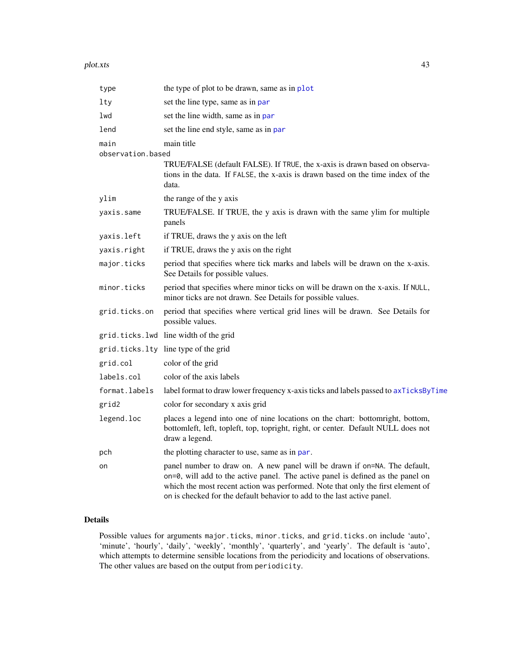<span id="page-42-0"></span>

| type                      | the type of plot to be drawn, same as in plot                                                                                                                                                                                                                                                                              |
|---------------------------|----------------------------------------------------------------------------------------------------------------------------------------------------------------------------------------------------------------------------------------------------------------------------------------------------------------------------|
| lty                       | set the line type, same as in par                                                                                                                                                                                                                                                                                          |
| lwd                       | set the line width, same as in par                                                                                                                                                                                                                                                                                         |
| lend                      | set the line end style, same as in par                                                                                                                                                                                                                                                                                     |
| main<br>observation.based | main title                                                                                                                                                                                                                                                                                                                 |
|                           | TRUE/FALSE (default FALSE). If TRUE, the x-axis is drawn based on observa-<br>tions in the data. If FALSE, the x-axis is drawn based on the time index of the<br>data.                                                                                                                                                     |
| ylim                      | the range of the y axis                                                                                                                                                                                                                                                                                                    |
| yaxis.same                | TRUE/FALSE. If TRUE, the y axis is drawn with the same ylim for multiple<br>panels                                                                                                                                                                                                                                         |
| yaxis.left                | if TRUE, draws the y axis on the left                                                                                                                                                                                                                                                                                      |
| yaxis.right               | if TRUE, draws the y axis on the right                                                                                                                                                                                                                                                                                     |
| major.ticks               | period that specifies where tick marks and labels will be drawn on the x-axis.<br>See Details for possible values.                                                                                                                                                                                                         |
| minor.ticks               | period that specifies where minor ticks on will be drawn on the x-axis. If NULL,<br>minor ticks are not drawn. See Details for possible values.                                                                                                                                                                            |
| grid.ticks.on             | period that specifies where vertical grid lines will be drawn. See Details for<br>possible values.                                                                                                                                                                                                                         |
| grid.ticks.lwd            | line width of the grid                                                                                                                                                                                                                                                                                                     |
|                           | grid.ticks.lty line type of the grid                                                                                                                                                                                                                                                                                       |
| grid.col                  | color of the grid                                                                                                                                                                                                                                                                                                          |
| labels.col                | color of the axis labels                                                                                                                                                                                                                                                                                                   |
| format.labels             | label format to draw lower frequency x-axis ticks and labels passed to axTicksByTime                                                                                                                                                                                                                                       |
| grid2                     | color for secondary x axis grid                                                                                                                                                                                                                                                                                            |
| legend.loc                | places a legend into one of nine locations on the chart: bottomright, bottom,<br>bottomleft, left, topleft, top, topright, right, or center. Default NULL does not<br>draw a legend.                                                                                                                                       |
| pch                       | the plotting character to use, same as in par.                                                                                                                                                                                                                                                                             |
| on                        | panel number to draw on. A new panel will be drawn if on=NA. The default,<br>on=0, will add to the active panel. The active panel is defined as the panel on<br>which the most recent action was performed. Note that only the first element of<br>on is checked for the default behavior to add to the last active panel. |

# Details

Possible values for arguments major.ticks, minor.ticks, and grid.ticks.on include 'auto', 'minute', 'hourly', 'daily', 'weekly', 'monthly', 'quarterly', and 'yearly'. The default is 'auto', which attempts to determine sensible locations from the periodicity and locations of observations. The other values are based on the output from periodicity.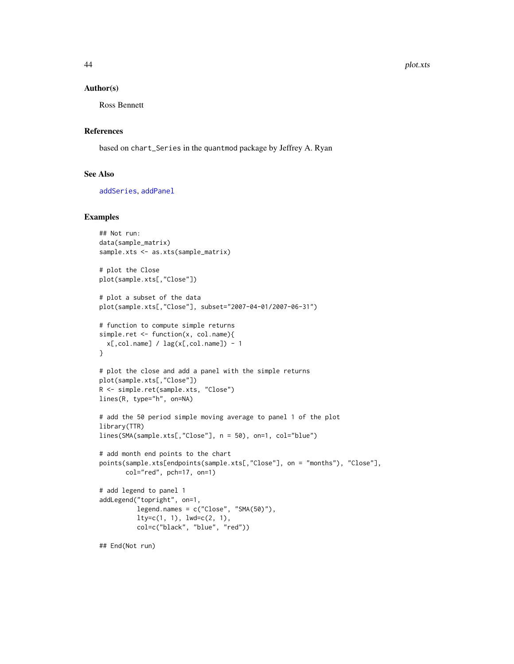#### <span id="page-43-0"></span>Author(s)

Ross Bennett

# References

based on chart\_Series in the quantmod package by Jeffrey A. Ryan

#### See Also

[addSeries](#page-8-2), [addPanel](#page-6-1)

# Examples

```
## Not run:
data(sample_matrix)
sample.xts <- as.xts(sample_matrix)
# plot the Close
plot(sample.xts[,"Close"])
# plot a subset of the data
plot(sample.xts[,"Close"], subset="2007-04-01/2007-06-31")
# function to compute simple returns
simple.ret <- function(x, col.name){
  x[,col.name] / lag(x[,col.name]) - 1
}
# plot the close and add a panel with the simple returns
plot(sample.xts[,"Close"])
R <- simple.ret(sample.xts, "Close")
lines(R, type="h", on=NA)
# add the 50 period simple moving average to panel 1 of the plot
library(TTR)
lines(SMA(sample.xts[,"Close"], n = 50), on=1, col="blue")
# add month end points to the chart
points(sample.xts[endpoints(sample.xts[,"Close"], on = "months"), "Close"],
       col="red", pch=17, on=1)
# add legend to panel 1
addLegend("topright", on=1,
          legend.name = c("Close", "SMA(50)").lty=c(1, 1), lwd=c(2, 1),
          col=c("black", "blue", "red"))
## End(Not run)
```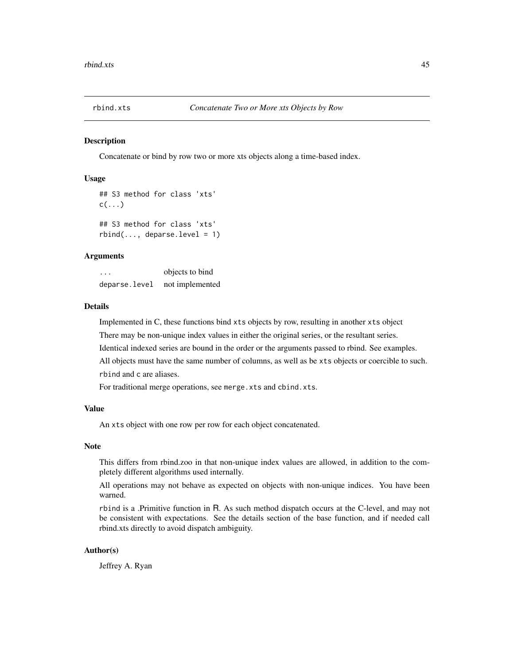<span id="page-44-0"></span>

Concatenate or bind by row two or more xts objects along a time-based index.

#### Usage

```
## S3 method for class 'xts'
c(\ldots)## S3 method for class 'xts'
```
 $rbind(..., deparse. level = 1)$ 

# Arguments

... objects to bind deparse.level not implemented

#### Details

Implemented in C, these functions bind xts objects by row, resulting in another xts object

There may be non-unique index values in either the original series, or the resultant series.

Identical indexed series are bound in the order or the arguments passed to rbind. See examples.

All objects must have the same number of columns, as well as be xts objects or coercible to such. rbind and c are aliases.

For traditional merge operations, see merge.xts and cbind.xts.

#### Value

An xts object with one row per row for each object concatenated.

#### Note

This differs from rbind.zoo in that non-unique index values are allowed, in addition to the completely different algorithms used internally.

All operations may not behave as expected on objects with non-unique indices. You have been warned.

rbind is a .Primitive function in R. As such method dispatch occurs at the C-level, and may not be consistent with expectations. See the details section of the base function, and if needed call rbind.xts directly to avoid dispatch ambiguity.

#### Author(s)

Jeffrey A. Ryan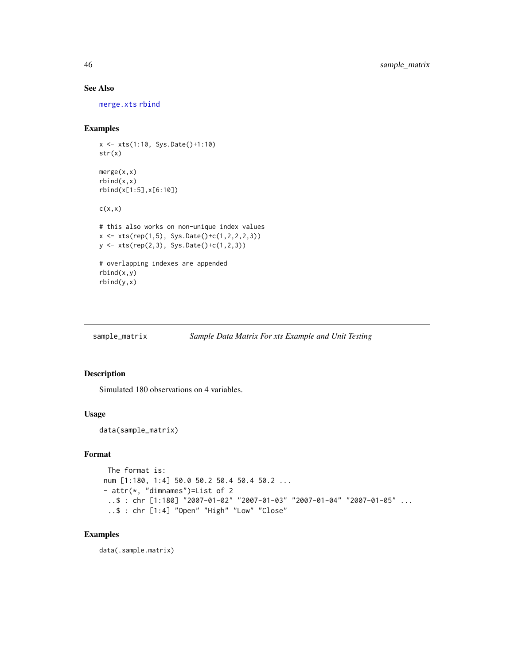# See Also

[merge.xts](#page-31-1) [rbind](#page-0-0)

# Examples

```
x <- xts(1:10, Sys.Date()+1:10)
str(x)
merge(x,x)
rbind(x, x)rbind(x[1:5],x[6:10])
c(x,x)# this also works on non-unique index values
x \leq xts(rep(1,5), Sys.Date()+c(1,2,2,2,3))
y <- xts(rep(2,3), Sys.Date()+c(1,2,3))
# overlapping indexes are appended
rbind(x,y)
rbind(y,x)
```
sample\_matrix *Sample Data Matrix For xts Example and Unit Testing*

# Description

Simulated 180 observations on 4 variables.

#### Usage

data(sample\_matrix)

# Format

```
The format is:
num [1:180, 1:4] 50.0 50.2 50.4 50.4 50.2 ...
- attr(*, "dimnames")=List of 2
 ..$ : chr [1:180] "2007-01-02" "2007-01-03" "2007-01-04" "2007-01-05" ...
 ..$ : chr [1:4] "Open" "High" "Low" "Close"
```
# Examples

data(.sample.matrix)

<span id="page-45-0"></span>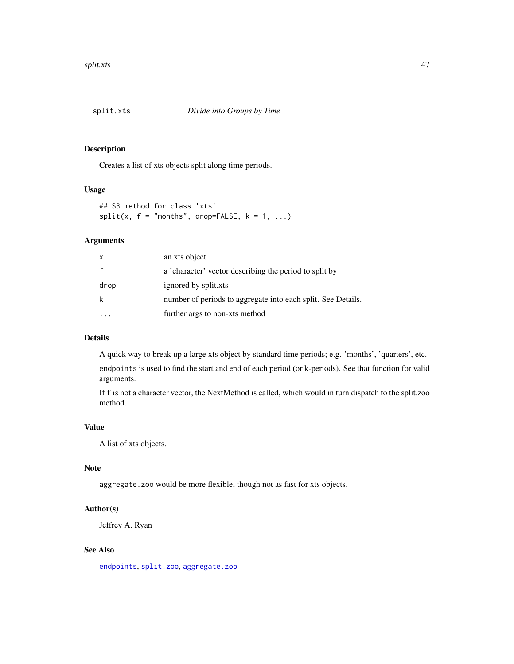<span id="page-46-0"></span>

Creates a list of xts objects split along time periods.

# Usage

```
## S3 method for class 'xts'
split(x, f = "months", drop=False, k = 1, ...)
```
# Arguments

| $\times$     | an xts object                                                |
|--------------|--------------------------------------------------------------|
| $\mathsf{f}$ | a 'character' vector describing the period to split by       |
| drop         | ignored by split.xts                                         |
| k            | number of periods to aggregate into each split. See Details. |
|              | further args to non-xts method                               |

# Details

A quick way to break up a large xts object by standard time periods; e.g. 'months', 'quarters', etc.

endpoints is used to find the start and end of each period (or k-periods). See that function for valid arguments.

If f is not a character vector, the NextMethod is called, which would in turn dispatch to the split.zoo method.

#### Value

A list of xts objects.

# Note

aggregate. zoo would be more flexible, though not as fast for xts objects.

#### Author(s)

Jeffrey A. Ryan

# See Also

[endpoints](#page-21-1), [split.zoo](#page-0-0), [aggregate.zoo](#page-0-0)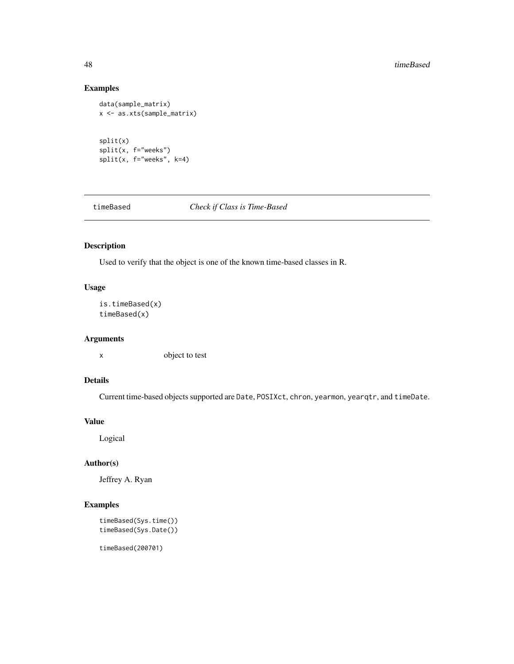#### 48 timeBased and the set of the set of the set of the set of the set of the set of the set of the set of the set of the set of the set of the set of the set of the set of the set of the set of the set of the set of the set

# Examples

```
data(sample_matrix)
x <- as.xts(sample_matrix)
split(x)
split(x, f="weeks")
split(x, f="weeks", k=4)
```
<span id="page-47-1"></span>timeBased *Check if Class is Time-Based*

# Description

Used to verify that the object is one of the known time-based classes in R.

# Usage

```
is.timeBased(x)
timeBased(x)
```
# Arguments

x object to test

# Details

Current time-based objects supported are Date, POSIXct, chron, yearmon, yearqtr, and timeDate.

#### Value

Logical

# Author(s)

Jeffrey A. Ryan

# Examples

```
timeBased(Sys.time())
timeBased(Sys.Date())
```
timeBased(200701)

<span id="page-47-0"></span>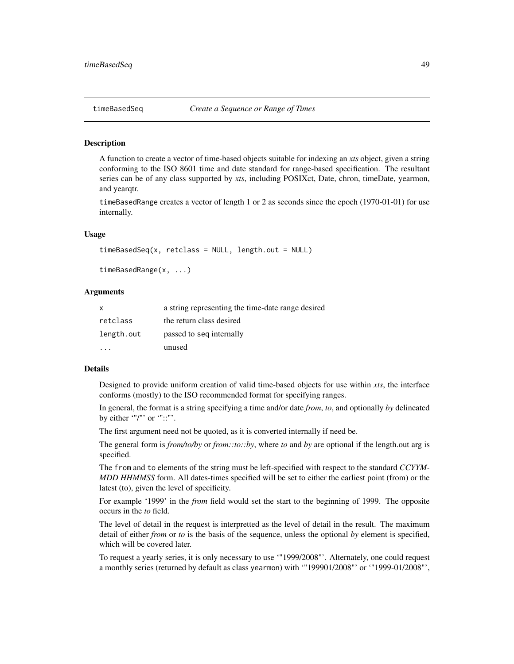<span id="page-48-0"></span>A function to create a vector of time-based objects suitable for indexing an *xts* object, given a string conforming to the ISO 8601 time and date standard for range-based specification. The resultant series can be of any class supported by *xts*, including POSIXct, Date, chron, timeDate, yearmon, and yearqtr.

timeBasedRange creates a vector of length 1 or 2 as seconds since the epoch (1970-01-01) for use internally.

#### Usage

```
timeBasedSeq(x, retclass = NULL, length.out = NULL)
```

```
timeBasedRange(x, ...)
```
#### Arguments

| $\mathsf{x}$ | a string representing the time-date range desired |
|--------------|---------------------------------------------------|
| retclass     | the return class desired                          |
| length.out   | passed to seq internally                          |
|              | unused                                            |

#### Details

Designed to provide uniform creation of valid time-based objects for use within *xts*, the interface conforms (mostly) to the ISO recommended format for specifying ranges.

In general, the format is a string specifying a time and/or date *from*, *to*, and optionally *by* delineated by either '"/"' or '"::"'.

The first argument need not be quoted, as it is converted internally if need be.

The general form is *from/to/by* or *from::to::by*, where *to* and *by* are optional if the length.out arg is specified.

The from and to elements of the string must be left-specified with respect to the standard *CCYYM-MDD HHMMSS* form. All dates-times specified will be set to either the earliest point (from) or the latest (to), given the level of specificity.

For example '1999' in the *from* field would set the start to the beginning of 1999. The opposite occurs in the *to* field.

The level of detail in the request is interpretted as the level of detail in the result. The maximum detail of either *from* or *to* is the basis of the sequence, unless the optional *by* element is specified, which will be covered later.

To request a yearly series, it is only necessary to use '"1999/2008"'. Alternately, one could request a monthly series (returned by default as class yearmon) with '"199901/2008"' or '"1999-01/2008"',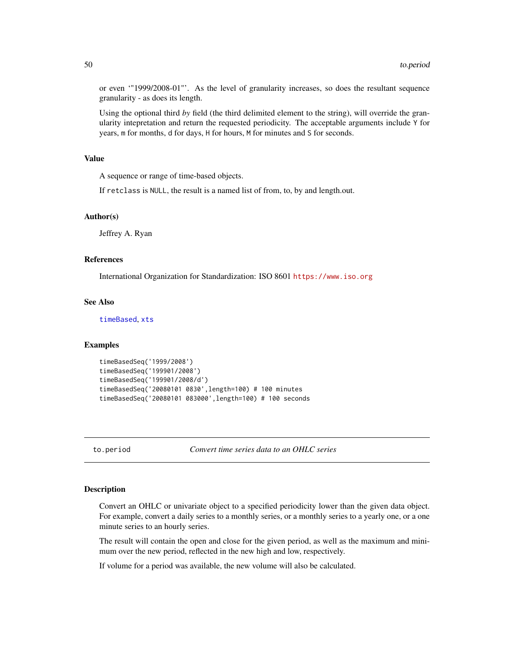or even '"1999/2008-01"'. As the level of granularity increases, so does the resultant sequence granularity - as does its length.

Using the optional third *by* field (the third delimited element to the string), will override the granularity intepretation and return the requested periodicity. The acceptable arguments include Y for years, m for months, d for days, H for hours, M for minutes and S for seconds.

#### Value

A sequence or range of time-based objects.

If retclass is NULL, the result is a named list of from, to, by and length.out.

#### Author(s)

Jeffrey A. Ryan

# References

International Organization for Standardization: ISO 8601 <https://www.iso.org>

#### See Also

[timeBased](#page-47-1), [xts](#page-53-1)

#### Examples

```
timeBasedSeq('1999/2008')
timeBasedSeq('199901/2008')
timeBasedSeq('199901/2008/d')
timeBasedSeq('20080101 0830',length=100) # 100 minutes
timeBasedSeq('20080101 083000',length=100) # 100 seconds
```
<span id="page-49-1"></span>to.period *Convert time series data to an OHLC series*

#### <span id="page-49-2"></span>Description

Convert an OHLC or univariate object to a specified periodicity lower than the given data object. For example, convert a daily series to a monthly series, or a monthly series to a yearly one, or a one minute series to an hourly series.

The result will contain the open and close for the given period, as well as the maximum and minimum over the new period, reflected in the new high and low, respectively.

If volume for a period was available, the new volume will also be calculated.

<span id="page-49-0"></span>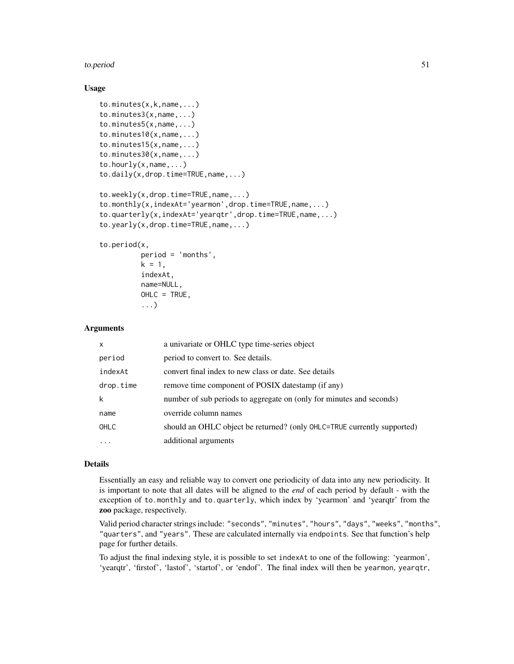#### to.period 51

#### Usage

```
to.minutes(x,k,name,...)
to.minutes3(x,name,...)
to.minutes5(x,name,...)
to.minutes10(x,name,...)
to.minutes15(x,name,...)
to.minutes30(x,name,...)
to.hourly(x,name,...)
to.daily(x,drop.time=TRUE,name,...)
to.weekly(x,drop.time=TRUE,name,...)
to.monthly(x,indexAt='yearmon',drop.time=TRUE,name,...)
to.quarterly(x,indexAt='yearqtr',drop.time=TRUE,name,...)
to.yearly(x,drop.time=TRUE,name,...)
```
# to.period(x,

```
period = 'months',
k = 1,
indexAt,
name=NULL,
OHLC = TRUE,
...)
```
# Arguments

| X           | a univariate or OHLC type time-series object                            |
|-------------|-------------------------------------------------------------------------|
| period      | period to convert to. See details.                                      |
| indexAt     | convert final index to new class or date. See details                   |
| drop.time   | remove time component of POSIX datestamp (if any)                       |
| k           | number of sub periods to aggregate on (only for minutes and seconds)    |
| name        | override column names                                                   |
| <b>OHLC</b> | should an OHLC object be returned? (only OHLC=TRUE currently supported) |
| $\cdots$    | additional arguments                                                    |

#### Details

Essentially an easy and reliable way to convert one periodicity of data into any new periodicity. It is important to note that all dates will be aligned to the *end* of each period by default - with the exception of to.monthly and to.quarterly, which index by 'yearmon' and 'yearqtr' from the zoo package, respectively.

Valid period character strings include: "seconds", "minutes", "hours", "days", "weeks", "months", "quarters", and "years". These are calculated internally via endpoints. See that function's help page for further details.

To adjust the final indexing style, it is possible to set indexAt to one of the following: 'yearmon', 'yearqtr', 'firstof', 'lastof', 'startof', or 'endof'. The final index will then be yearmon, yearqtr,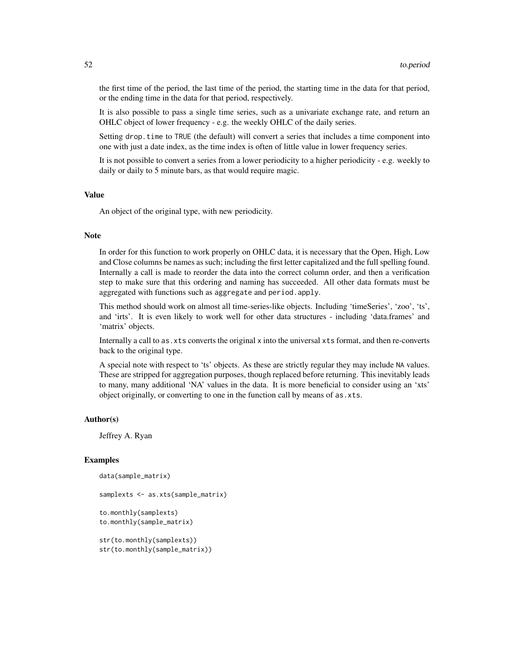the first time of the period, the last time of the period, the starting time in the data for that period, or the ending time in the data for that period, respectively.

It is also possible to pass a single time series, such as a univariate exchange rate, and return an OHLC object of lower frequency - e.g. the weekly OHLC of the daily series.

Setting drop. time to TRUE (the default) will convert a series that includes a time component into one with just a date index, as the time index is often of little value in lower frequency series.

It is not possible to convert a series from a lower periodicity to a higher periodicity - e.g. weekly to daily or daily to 5 minute bars, as that would require magic.

#### Value

An object of the original type, with new periodicity.

# Note

In order for this function to work properly on OHLC data, it is necessary that the Open, High, Low and Close columns be names as such; including the first letter capitalized and the full spelling found. Internally a call is made to reorder the data into the correct column order, and then a verification step to make sure that this ordering and naming has succeeded. All other data formats must be aggregated with functions such as aggregate and period.apply.

This method should work on almost all time-series-like objects. Including 'timeSeries', 'zoo', 'ts', and 'irts'. It is even likely to work well for other data structures - including 'data.frames' and 'matrix' objects.

Internally a call to as.xts converts the original x into the universal xts format, and then re-converts back to the original type.

A special note with respect to 'ts' objects. As these are strictly regular they may include NA values. These are stripped for aggregation purposes, though replaced before returning. This inevitably leads to many, many additional 'NA' values in the data. It is more beneficial to consider using an 'xts' object originally, or converting to one in the function call by means of as.xts.

#### Author(s)

Jeffrey A. Ryan

#### Examples

```
data(sample_matrix)
samplexts <- as.xts(sample_matrix)
to.monthly(samplexts)
to.monthly(sample_matrix)
str(to.monthly(samplexts))
```

```
str(to.monthly(sample_matrix))
```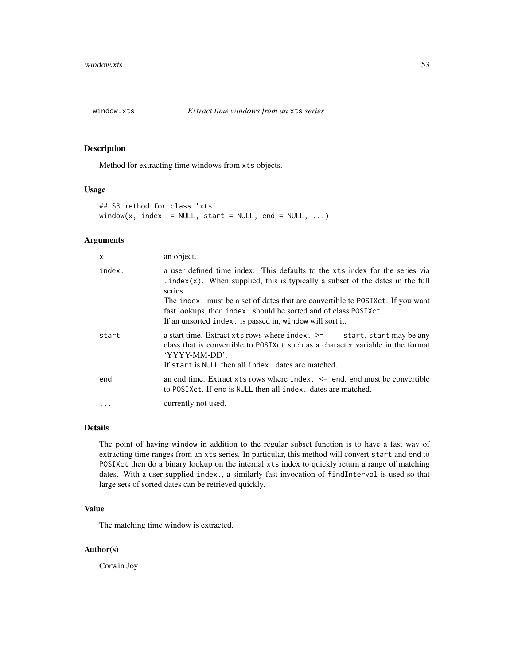<span id="page-52-0"></span>

Method for extracting time windows from xts objects.

#### Usage

```
## S3 method for class 'xts'
window(x, index. = NULL, start = NULL, end = NULL, \ldots)
```
# Arguments

| X         | an object.                                                                                                                                                                                                                                                                                                                                                                                  |
|-----------|---------------------------------------------------------------------------------------------------------------------------------------------------------------------------------------------------------------------------------------------------------------------------------------------------------------------------------------------------------------------------------------------|
| index.    | a user defined time index. This defaults to the xts index for the series via<br>. index(x). When supplied, this is typically a subset of the dates in the full<br>series.<br>The index, must be a set of dates that are convertible to POSIXct. If you want<br>fast lookups, then index. should be sorted and of class POSIXct.<br>If an unsorted index. is passed in, window will sort it. |
| start     | a start time. Extract xts rows where index. $\ge$ start. start may be any<br>class that is convertible to POSIXct such as a character variable in the format<br>'YYYY-MM-DD'.<br>If start is NULL then all index, dates are matched.                                                                                                                                                        |
| end       | an end time. Extract $x$ ts rows where index. $\leq$ end. end must be convertible<br>to POSIXct. If end is NULL then all index, dates are matched.                                                                                                                                                                                                                                          |
| $\ddotsc$ | currently not used.                                                                                                                                                                                                                                                                                                                                                                         |

# Details

The point of having window in addition to the regular subset function is to have a fast way of extracting time ranges from an xts series. In particular, this method will convert start and end to POSIXct then do a binary lookup on the internal xts index to quickly return a range of matching dates. With a user supplied index., a similarly fast invocation of findInterval is used so that large sets of sorted dates can be retrieved quickly.

### Value

The matching time window is extracted.

#### Author(s)

Corwin Joy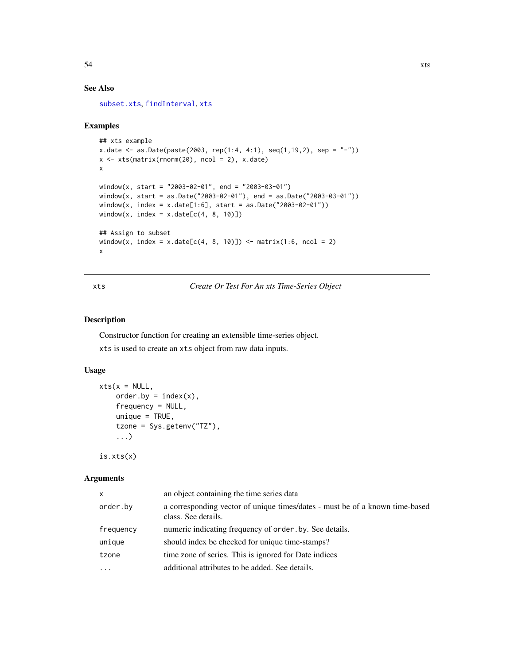# See Also

[subset.xts](#page-59-1), [findInterval](#page-0-0), [xts](#page-53-1)

# Examples

```
## xts example
x.date <- as.Date(paste(2003, rep(1:4, 4:1), seq(1,19,2), sep = "-"))
x \leftarrow xts(matrix(rnorm(20), ncol = 2), x.data)x
window(x, start = "2003-02-01", end = "2003-03-01")
window(x, start = as.Date("2003-02-01"), end = as.Date("2003-03-01"))
window(x, index = x.data[1:6], start = as.DataFrame("2003-02-01"))window(x, index = x.date[c(4, 8, 10)])## Assign to subset
window(x, index = x.date[c(4, 8, 10)]) <- matrix(1:6, ncol = 2)
x
```
# <span id="page-53-1"></span>xts *Create Or Test For An xts Time-Series Object*

# Description

Constructor function for creating an extensible time-series object. xts is used to create an xts object from raw data inputs.

# Usage

```
xts(x = NULL,order. by = index(x),
    frequency = NULL,
    unique = TRUE,
    tzone = Sys.getenv("TZ"),
    ...)
```
is.xts(x)

#### Arguments

| x         | an object containing the time series data                                                           |
|-----------|-----------------------------------------------------------------------------------------------------|
| order.bv  | a corresponding vector of unique times/dates - must be of a known time-based<br>class. See details. |
| frequency | numeric indicating frequency of order by. See details.                                              |
| unique    | should index be checked for unique time-stamps?                                                     |
| tzone     | time zone of series. This is ignored for Date indices                                               |
| $\cdots$  | additional attributes to be added. See details.                                                     |

<span id="page-53-0"></span>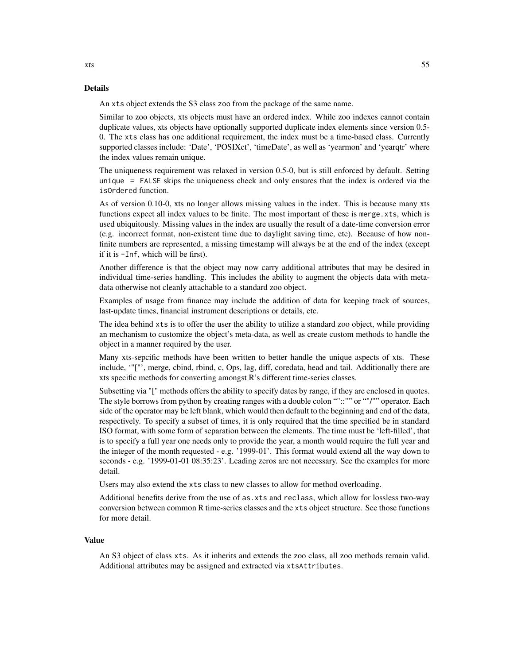#### Details

An xts object extends the S3 class zoo from the package of the same name.

Similar to zoo objects, xts objects must have an ordered index. While zoo indexes cannot contain duplicate values, xts objects have optionally supported duplicate index elements since version 0.5- 0. The xts class has one additional requirement, the index must be a time-based class. Currently supported classes include: 'Date', 'POSIXct', 'timeDate', as well as 'yearmon' and 'yearqtr' where the index values remain unique.

The uniqueness requirement was relaxed in version 0.5-0, but is still enforced by default. Setting unique = FALSE skips the uniqueness check and only ensures that the index is ordered via the isOrdered function.

As of version 0.10-0, xts no longer allows missing values in the index. This is because many xts functions expect all index values to be finite. The most important of these is merge.xts, which is used ubiquitously. Missing values in the index are usually the result of a date-time conversion error (e.g. incorrect format, non-existent time due to daylight saving time, etc). Because of how nonfinite numbers are represented, a missing timestamp will always be at the end of the index (except if it is -Inf, which will be first).

Another difference is that the object may now carry additional attributes that may be desired in individual time-series handling. This includes the ability to augment the objects data with metadata otherwise not cleanly attachable to a standard zoo object.

Examples of usage from finance may include the addition of data for keeping track of sources, last-update times, financial instrument descriptions or details, etc.

The idea behind xts is to offer the user the ability to utilize a standard zoo object, while providing an mechanism to customize the object's meta-data, as well as create custom methods to handle the object in a manner required by the user.

Many xts-sepcific methods have been written to better handle the unique aspects of xts. These include, '"["', merge, cbind, rbind, c, Ops, lag, diff, coredata, head and tail. Additionally there are xts specific methods for converting amongst R's different time-series classes.

Subsetting via "[" methods offers the ability to specify dates by range, if they are enclosed in quotes. The style borrows from python by creating ranges with a double colon ""::"" or ""/"" operator. Each side of the operator may be left blank, which would then default to the beginning and end of the data, respectively. To specify a subset of times, it is only required that the time specified be in standard ISO format, with some form of separation between the elements. The time must be 'left-filled', that is to specify a full year one needs only to provide the year, a month would require the full year and the integer of the month requested - e.g. '1999-01'. This format would extend all the way down to seconds - e.g. '1999-01-01 08:35:23'. Leading zeros are not necessary. See the examples for more detail.

Users may also extend the xts class to new classes to allow for method overloading.

Additional benefits derive from the use of as.xts and reclass, which allow for lossless two-way conversion between common R time-series classes and the xts object structure. See those functions for more detail.

#### Value

An S3 object of class xts. As it inherits and extends the zoo class, all zoo methods remain valid. Additional attributes may be assigned and extracted via xtsAttributes.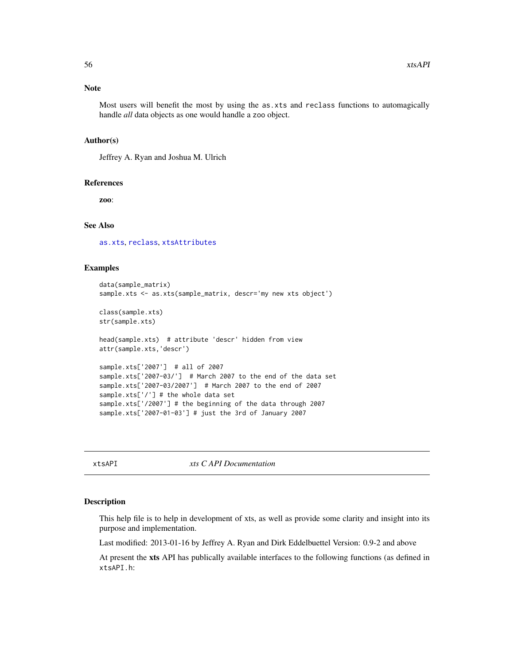#### <span id="page-55-0"></span>Note

Most users will benefit the most by using the as.xts and reclass functions to automagically handle *all* data objects as one would handle a zoo object.

#### Author(s)

Jeffrey A. Ryan and Joshua M. Ulrich

#### References

zoo:

#### See Also

[as.xts](#page-11-1), [reclass](#page-11-2), [xtsAttributes](#page-57-1)

# Examples

```
data(sample_matrix)
sample.xts <- as.xts(sample_matrix, descr='my new xts object')
class(sample.xts)
str(sample.xts)
head(sample.xts) # attribute 'descr' hidden from view
attr(sample.xts,'descr')
sample.xts['2007'] # all of 2007
sample.xts['2007-03/'] # March 2007 to the end of the data set
sample.xts['2007-03/2007'] # March 2007 to the end of 2007
sample.xts['/'] # the whole data set
sample.xts['/2007'] # the beginning of the data through 2007
```
sample.xts['2007-01-03'] # just the 3rd of January 2007

xtsAPI *xts C API Documentation*

#### Description

This help file is to help in development of xts, as well as provide some clarity and insight into its purpose and implementation.

Last modified: 2013-01-16 by Jeffrey A. Ryan and Dirk Eddelbuettel Version: 0.9-2 and above

At present the xts API has publically available interfaces to the following functions (as defined in xtsAPI.h: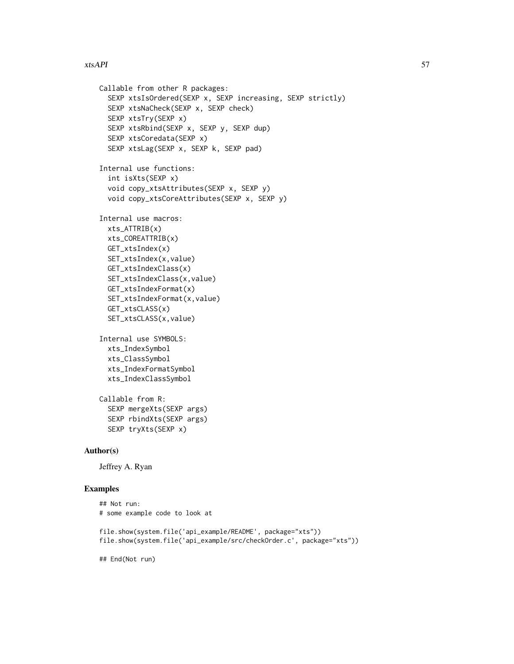```
Callable from other R packages:
     SEXP xtsIsOrdered(SEXP x, SEXP increasing, SEXP strictly)
     SEXP xtsNaCheck(SEXP x, SEXP check)
     SEXP xtsTry(SEXP x)
     SEXP xtsRbind(SEXP x, SEXP y, SEXP dup)
     SEXP xtsCoredata(SEXP x)
     SEXP xtsLag(SEXP x, SEXP k, SEXP pad)
   Internal use functions:
     int isXts(SEXP x)
     void copy_xtsAttributes(SEXP x, SEXP y)
     void copy_xtsCoreAttributes(SEXP x, SEXP y)
   Internal use macros:
     xts_ATTRIB(x)
     xts_COREATTRIB(x)
     GET_xtsIndex(x)
     SET_xtsIndex(x,value)
     GET_xtsIndexClass(x)
     SET_xtsIndexClass(x,value)
     GET_xtsIndexFormat(x)
     SET_xtsIndexFormat(x,value)
     GET_xtsCLASS(x)
     SET_xtsCLASS(x,value)
   Internal use SYMBOLS:
     xts_IndexSymbol
     xts_ClassSymbol
     xts_IndexFormatSymbol
     xts_IndexClassSymbol
   Callable from R:
     SEXP mergeXts(SEXP args)
     SEXP rbindXts(SEXP args)
     SEXP tryXts(SEXP x)
Author(s)
```
Jeffrey A. Ryan

#### Examples

```
## Not run:
# some example code to look at
file.show(system.file('api_example/README', package="xts"))
file.show(system.file('api_example/src/checkOrder.c', package="xts"))
```
## End(Not run)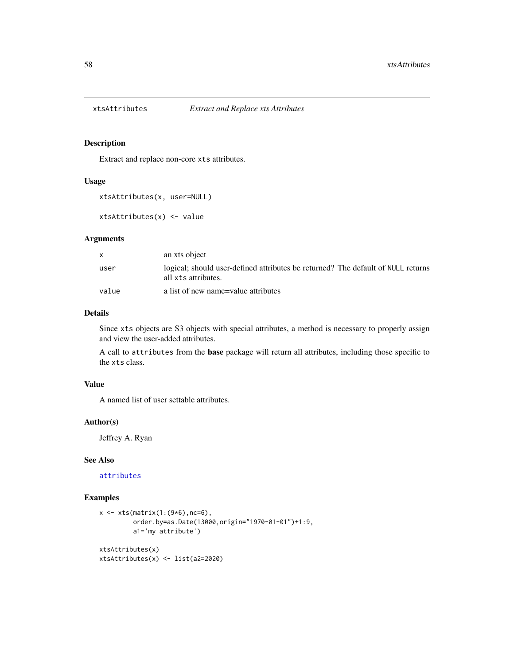<span id="page-57-1"></span><span id="page-57-0"></span>

Extract and replace non-core xts attributes.

#### Usage

```
xtsAttributes(x, user=NULL)
```

```
xtsAttributes(x) <- value
```
#### Arguments

|       | an xts object                                                                                           |
|-------|---------------------------------------------------------------------------------------------------------|
| user  | logical; should user-defined attributes be returned? The default of NULL returns<br>all xts attributes. |
| value | a list of new name=value attributes                                                                     |

# Details

Since xts objects are S3 objects with special attributes, a method is necessary to properly assign and view the user-added attributes.

A call to attributes from the base package will return all attributes, including those specific to the xts class.

### Value

A named list of user settable attributes.

#### Author(s)

Jeffrey A. Ryan

#### See Also

[attributes](#page-0-0)

# Examples

```
x \leftarrow xts(matrix(1:(9*6)),nc=6),order.by=as.Date(13000,origin="1970-01-01")+1:9,
         a1='my attribute')
xtsAttributes(x)
xtsAttributes(x) <- list(a2=2020)
```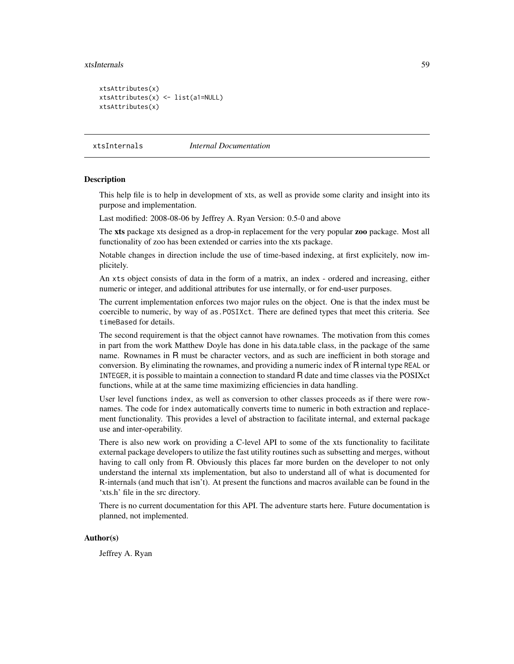#### <span id="page-58-0"></span>xtsInternals 59

```
xtsAttributes(x)
xtsAttributes(x) <- list(a1=NULL)
xtsAttributes(x)
```
xtsInternals *Internal Documentation*

#### Description

This help file is to help in development of xts, as well as provide some clarity and insight into its purpose and implementation.

Last modified: 2008-08-06 by Jeffrey A. Ryan Version: 0.5-0 and above

The xts package xts designed as a drop-in replacement for the very popular zoo package. Most all functionality of zoo has been extended or carries into the xts package.

Notable changes in direction include the use of time-based indexing, at first explicitely, now implicitely.

An xts object consists of data in the form of a matrix, an index - ordered and increasing, either numeric or integer, and additional attributes for use internally, or for end-user purposes.

The current implementation enforces two major rules on the object. One is that the index must be coercible to numeric, by way of as.POSIXct. There are defined types that meet this criteria. See timeBased for details.

The second requirement is that the object cannot have rownames. The motivation from this comes in part from the work Matthew Doyle has done in his data.table class, in the package of the same name. Rownames in R must be character vectors, and as such are inefficient in both storage and conversion. By eliminating the rownames, and providing a numeric index of R internal type REAL or INTEGER, it is possible to maintain a connection to standard R date and time classes via the POSIXct functions, while at at the same time maximizing efficiencies in data handling.

User level functions index, as well as conversion to other classes proceeds as if there were rownames. The code for index automatically converts time to numeric in both extraction and replacement functionality. This provides a level of abstraction to facilitate internal, and external package use and inter-operability.

There is also new work on providing a C-level API to some of the xts functionality to facilitate external package developers to utilize the fast utility routines such as subsetting and merges, without having to call only from R. Obviously this places far more burden on the developer to not only understand the internal xts implementation, but also to understand all of what is documented for R-internals (and much that isn't). At present the functions and macros available can be found in the 'xts.h' file in the src directory.

There is no current documentation for this API. The adventure starts here. Future documentation is planned, not implemented.

#### Author(s)

Jeffrey A. Ryan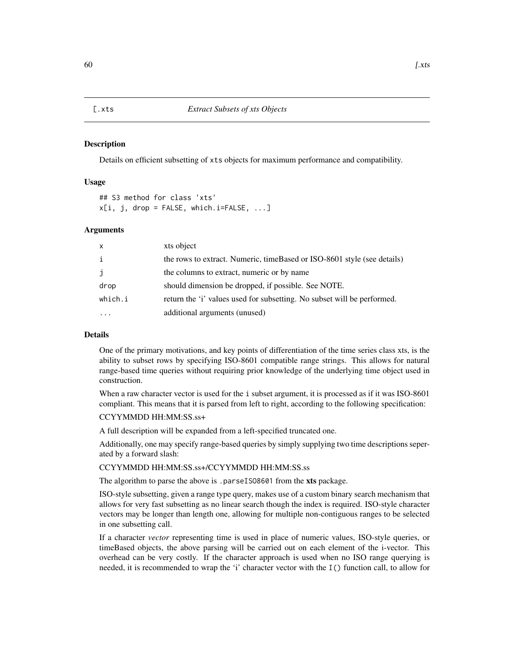<span id="page-59-1"></span><span id="page-59-0"></span>Details on efficient subsetting of xts objects for maximum performance and compatibility.

#### Usage

## S3 method for class 'xts'  $x[i, j, drop = FALSE, which.i=FALSE, ...]$ 

#### Arguments

| X            | xts object                                                              |
|--------------|-------------------------------------------------------------------------|
| i            | the rows to extract. Numeric, timeBased or ISO-8601 style (see details) |
| $\mathbf{J}$ | the columns to extract, numeric or by name                              |
| drop         | should dimension be dropped, if possible. See NOTE.                     |
| which.i      | return the 'i' values used for subsetting. No subset will be performed. |
|              | additional arguments (unused)                                           |

# Details

One of the primary motivations, and key points of differentiation of the time series class xts, is the ability to subset rows by specifying ISO-8601 compatible range strings. This allows for natural range-based time queries without requiring prior knowledge of the underlying time object used in construction.

When a raw character vector is used for the i subset argument, it is processed as if it was ISO-8601 compliant. This means that it is parsed from left to right, according to the following specification:

# CCYYMMDD HH:MM:SS.ss+

A full description will be expanded from a left-specified truncated one.

Additionally, one may specify range-based queries by simply supplying two time descriptions seperated by a forward slash:

#### CCYYMMDD HH:MM:SS.ss+/CCYYMMDD HH:MM:SS.ss

The algorithm to parse the above is .parseIS08601 from the xts package.

ISO-style subsetting, given a range type query, makes use of a custom binary search mechanism that allows for very fast subsetting as no linear search though the index is required. ISO-style character vectors may be longer than length one, allowing for multiple non-contiguous ranges to be selected in one subsetting call.

If a character *vector* representing time is used in place of numeric values, ISO-style queries, or timeBased objects, the above parsing will be carried out on each element of the i-vector. This overhead can be very costly. If the character approach is used when no ISO range querying is needed, it is recommended to wrap the 'i' character vector with the I() function call, to allow for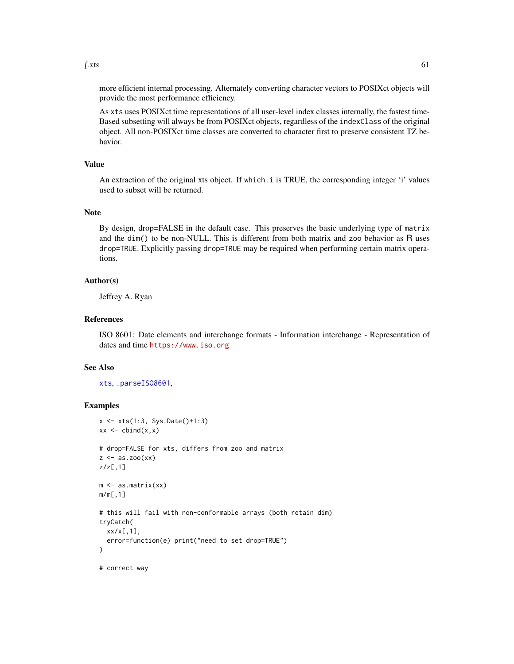<span id="page-60-0"></span> $\left[ \text{.xts} \right]$  61

more efficient internal processing. Alternately converting character vectors to POSIXct objects will provide the most performance efficiency.

As xts uses POSIXct time representations of all user-level index classes internally, the fastest time-Based subsetting will always be from POSIXct objects, regardless of the indexClass of the original object. All non-POSIXct time classes are converted to character first to preserve consistent TZ behavior.

#### Value

An extraction of the original xts object. If which.i is TRUE, the corresponding integer 'i' values used to subset will be returned.

#### **Note**

By design, drop=FALSE in the default case. This preserves the basic underlying type of matrix and the dim() to be non-NULL. This is different from both matrix and zoo behavior as R uses drop=TRUE. Explicitly passing drop=TRUE may be required when performing certain matrix operations.

#### Author(s)

Jeffrey A. Ryan

# References

ISO 8601: Date elements and interchange formats - Information interchange - Representation of dates and time <https://www.iso.org>

#### See Also

[xts](#page-53-1), [.parseISO8601](#page-2-1),

# Examples

```
x <- xts(1:3, Sys.Date()+1:3)
xx \leftarrow \text{cbind}(x, x)# drop=FALSE for xts, differs from zoo and matrix
z \leftarrow as.zoo(xx)z/z[,1]
m <- as.matrix(xx)
m/m[,1]
# this will fail with non-conformable arrays (both retain dim)
tryCatch(
  xx/x[,1],
  error=function(e) print("need to set drop=TRUE")
)
# correct way
```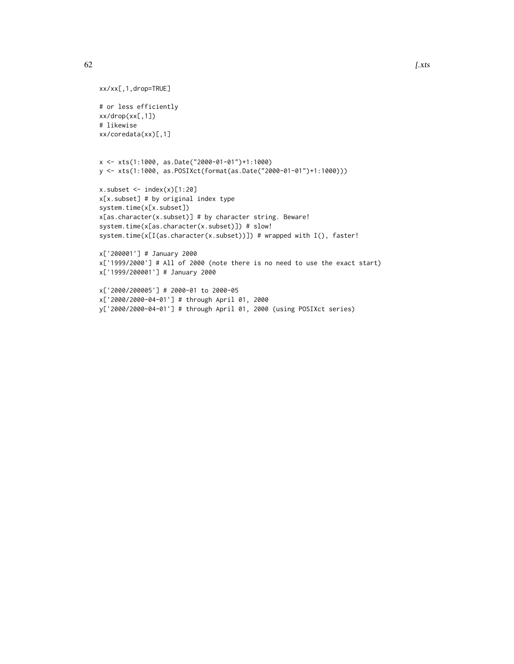```
x <- xts(1:1000, as.Date("2000-01-01")+1:1000)
y <- xts(1:1000, as.POSIXct(format(as.Date("2000-01-01")+1:1000)))
```

```
x.subset \leftarrow index(x)[1:20]x[x.subset] # by original index type
system.time(x[x.subset])
x[as.character(x.subset)] # by character string. Beware!
system.time(x[as.character(x.subset)]) # slow!
system.time(x[I(as.character(x.subset))]) # wrapped with I(), faster!
```

```
x['200001'] # January 2000
x['1999/2000'] # All of 2000 (note there is no need to use the exact start)
x['1999/200001'] # January 2000
```

```
x['2000/200005'] # 2000-01 to 2000-05
x['2000/2000-04-01'] # through April 01, 2000
y['2000/2000-04-01'] # through April 01, 2000 (using POSIXct series)
```
xx/xx[,1,drop=TRUE]

xx/coredata(xx)[,1]

# or less efficiently xx/drop(xx[,1]) # likewise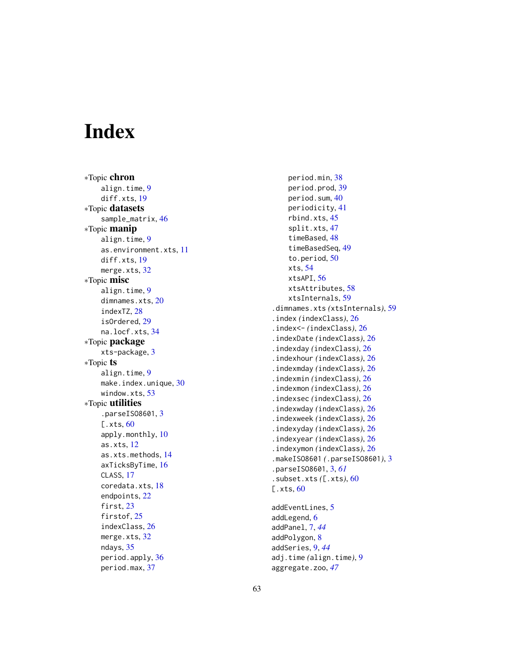# <span id="page-62-0"></span>**Index**

∗Topic chron align.time , [9](#page-8-0) diff.xts, [19](#page-18-0) ∗Topic datasets sample\_matrix , [46](#page-45-0) ∗Topic manip align.time , [9](#page-8-0) as.environment.xts , [11](#page-10-0) diff.xts , [19](#page-18-0) merge.xts, [32](#page-31-0) ∗Topic misc align.time , [9](#page-8-0) dimnames.xts, [20](#page-19-0) indexTZ , [28](#page-27-0) isOrdered , [29](#page-28-0) na.locf.xts, [34](#page-33-0) ∗Topic package xts-package , [3](#page-2-0) ∗Topic ts align.time , [9](#page-8-0) make.index.unique, [30](#page-29-0) window.xts, [53](#page-52-0) ∗Topic utilities .parseIS08601, [3](#page-2-0) [.xts, [60](#page-59-0)] apply.monthly, [10](#page-9-0) as.xts , [12](#page-11-0) as.xts.methods , [14](#page-13-0) axTicksByTime , [16](#page-15-0) CLASS, [17](#page-16-0) coredata.xts , [18](#page-17-0) endpoints , [22](#page-21-0) first, [23](#page-22-0) firstof, [25](#page-24-0) indexClass , [26](#page-25-0) merge.xts, [32](#page-31-0) ndays , [35](#page-34-0) period.apply, [36](#page-35-0) period.max , [37](#page-36-0)

```
period.min
, 38
    39
    period.sum
, 40
    periodicity
, 41
    rbind.xts
, 45
    split.xts
, 47
    timeBased
, 48
    timeBasedSeq
, 49
    50
    xts
, 54
    xtsAPI
, 56
    xtsAttributes
, 58
    xtsInternals
, 59
.dimnames.xts
(xtsInternals
)
, 59
.index
(indexClass
)
, 26
.index<-
(indexClass
)
, 26
.indexDate
(indexClass
)
, 26
.indexday
(indexClass
)
, 26
.indexhour
(indexClass
)
, 26
.indexmday
(indexClass
)
, 26
.indexmin
(indexClass
)
, 26
.indexmon
(indexClass
)
, 26
.indexsec
(indexClass
)
, 26
.indexwday
(indexClass
)
, 26
.indexweek
(indexClass
)
, 26
.indexyday
(indexClass
)
, 26
.indexyear
(indexClass
)
, 26
.indexymon
(indexClass
)
, 26
.makeISO8601
(.parseISO8601
)
,
3
.parseISO8601
,
3
, 61
.subset.xts
([.xts
)
, 60
60
5
```

```
6
addPanel
,
7
, 44
8
addSeries
,
9
, 44
adj.time
(align.time
)
,
9
aggregate.zoo
, 47
```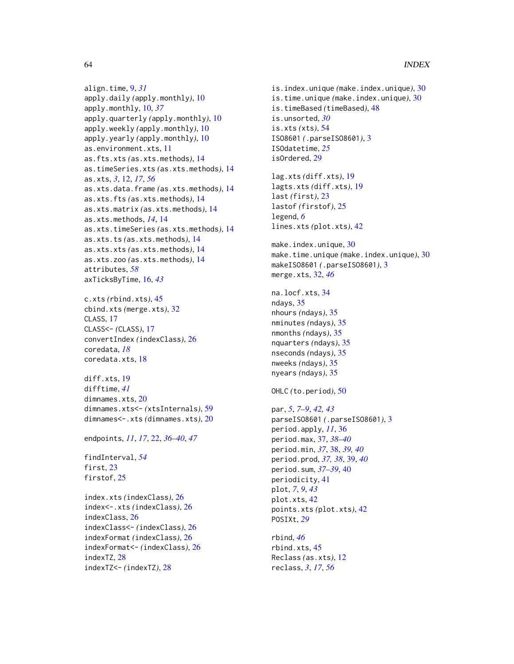# 64 INDEX

```
align.time, 9, 31
apply.daily (apply.monthly), 10
apply.monthly, 10, 37
apply.quarterly (apply.monthly), 10
apply.weekly (apply.monthly), 10
apply.yearly (apply.monthly), 10
as.environment.xts, 11
as.fts.xts (as.xts.methods), 14
as.timeSeries.xts (as.xts.methods), 14
as.xts, 3, 12, 17, 56
as.xts.data.frame (as.xts.methods), 14
as.xts.fts (as.xts.methods), 14
as.xts.matrix (as.xts.methods), 14
as.xts.methods, 14, 14
as.xts.timeSeries (as.xts.methods), 14
as.xts.ts (as.xts.methods), 14
as.xts.xts (as.xts.methods), 14
as.xts.zoo (as.xts.methods), 14
attributes, 58
axTicksByTime, 16, 43
```

```
c.xts (rbind.xts), 45
cbind.xts (merge.xts), 32
CLASS, 17
CLASS<- (CLASS), 17
convertIndex (indexClass), 26
coredata, 18
coredata.xts, 18
```

```
diff.xts, 19
difftime, 41
dimnames.xts, 20
dimnames.xts<- (xtsInternals), 59
dimnames<-.xts (dimnames.xts), 20
```
endpoints, *[11](#page-10-0)*, *[17](#page-16-0)*, [22,](#page-21-0) *[36–](#page-35-0)[40](#page-39-0)*, *[47](#page-46-0)*

findInterval, *[54](#page-53-0)* first, [23](#page-22-0) firstof, [25](#page-24-0)

index.xts *(*indexClass*)*, [26](#page-25-0) index<-.xts *(*indexClass*)*, [26](#page-25-0) indexClass, [26](#page-25-0) indexClass<- *(*indexClass*)*, [26](#page-25-0) indexFormat *(*indexClass*)*, [26](#page-25-0) indexFormat<- *(*indexClass*)*, [26](#page-25-0) indexTZ, [28](#page-27-0) indexTZ<- *(*indexTZ*)*, [28](#page-27-0)

is.index.unique *(*make.index.unique*)*, [30](#page-29-0) is.time.unique *(*make.index.unique*)*, [30](#page-29-0) is.timeBased *(*timeBased*)*, [48](#page-47-0) is.unsorted, *[30](#page-29-0)* is.xts *(*xts*)*, [54](#page-53-0) ISO8601 *(*.parseISO8601*)*, [3](#page-2-0) ISOdatetime, *[25](#page-24-0)* isOrdered, [29](#page-28-0)

lag.xts *(*diff.xts*)*, [19](#page-18-0) lagts.xts *(*diff.xts*)*, [19](#page-18-0) last *(*first*)*, [23](#page-22-0) lastof *(*firstof*)*, [25](#page-24-0) legend, *[6](#page-5-0)* lines.xts *(*plot.xts*)*, [42](#page-41-0)

make.index.unique, [30](#page-29-0) make.time.unique *(*make.index.unique*)*, [30](#page-29-0) makeISO8601 *(*.parseISO8601*)*, [3](#page-2-0) merge.xts, [32,](#page-31-0) *[46](#page-45-0)*

```
na.locf.xts, 34
ndays, 35
nhours (ndays), 35
nminutes (ndays), 35
nmonths (ndays), 35
nquarters (ndays), 35
nseconds (ndays), 35
nweeks (ndays), 35
nyears (ndays), 35
```

```
OHLC (to.period), 50
```
par, *[5](#page-4-0)*, *[7–](#page-6-0)[9](#page-8-0)*, *[42,](#page-41-0) [43](#page-42-0)* parseISO8601 *(*.parseISO8601*)*, [3](#page-2-0) period.apply, *[11](#page-10-0)*, [36](#page-35-0) period.max, [37,](#page-36-0) *[38](#page-37-0)[–40](#page-39-0)* period.min, *[37](#page-36-0)*, [38,](#page-37-0) *[39,](#page-38-0) [40](#page-39-0)* period.prod, *[37,](#page-36-0) [38](#page-37-0)*, [39,](#page-38-0) *[40](#page-39-0)* period.sum, *[37](#page-36-0)[–39](#page-38-0)*, [40](#page-39-0) periodicity, [41](#page-40-0) plot, *[7](#page-6-0)*, *[9](#page-8-0)*, *[43](#page-42-0)* plot.xts, [42](#page-41-0) points.xts *(*plot.xts*)*, [42](#page-41-0) POSIXt, *[29](#page-28-0)*

rbind, *[46](#page-45-0)* rbind.xts, [45](#page-44-0) Reclass *(*as.xts*)*, [12](#page-11-0) reclass, *[3](#page-2-0)*, *[17](#page-16-0)*, *[56](#page-55-0)*